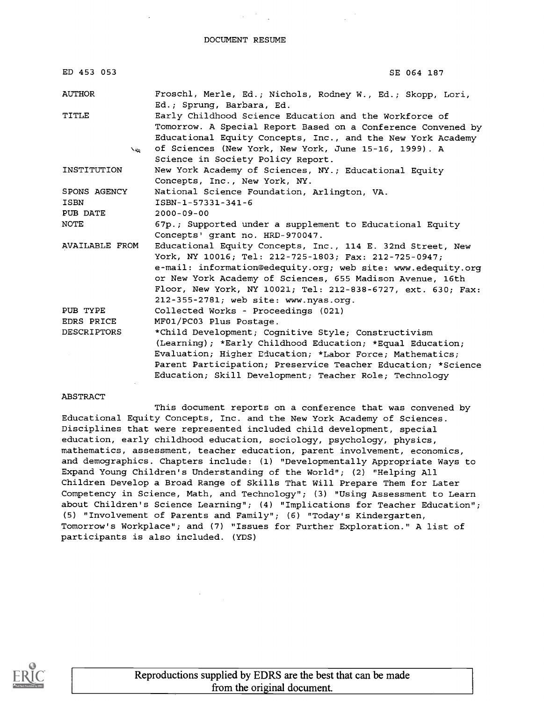#### DOCUMENT RESUME

| ED 453 053                              | SE 064 187                                                                                                                                                                                                                                                                                                                                                |
|-----------------------------------------|-----------------------------------------------------------------------------------------------------------------------------------------------------------------------------------------------------------------------------------------------------------------------------------------------------------------------------------------------------------|
| AUTHOR                                  | Froschl, Merle, Ed.; Nichols, Rodney W., Ed.; Skopp, Lori,<br>Ed.; Sprung, Barbara, Ed.                                                                                                                                                                                                                                                                   |
| TITLE                                   | Early Childhood Science Education and the Workforce of<br>Tomorrow. A Special Report Based on a Conference Convened by<br>Educational Equity Concepts, Inc., and the New York Academy                                                                                                                                                                     |
| $\mathcal{L}_{\mathcal{K}}$             | of Sciences (New York, New York, June 15-16, 1999). A<br>Science in Society Policy Report.                                                                                                                                                                                                                                                                |
| INSTITUTION                             | New York Academy of Sciences, NY.; Educational Equity<br>Concepts, Inc., New York, NY.                                                                                                                                                                                                                                                                    |
| SPONS AGENCY<br><b>ISBN</b><br>PUB DATE | National Science Foundation, Arlington, VA.<br>ISBN-1-57331-341-6<br>$2000 - 09 - 00$                                                                                                                                                                                                                                                                     |
| NOTE                                    | 67p.; Supported under a supplement to Educational Equity<br>Concepts' grant no. HRD-970047.                                                                                                                                                                                                                                                               |
| AVAILABLE FROM                          | Educational Equity Concepts, Inc., 114 E. 32nd Street, New<br>York, NY 10016; Tel: 212-725-1803; Fax: 212-725-0947;<br>e-mail: information@edequity.org; web site: www.edequity.org<br>or New York Academy of Sciences, 655 Madison Avenue, 16th<br>Floor, New York, NY 10021; Tel: 212-838-6727, ext. 630; Fax:<br>212-355-2781; web site: www.nyas.org. |
| PUB TYPE                                | Collected Works - Proceedings (021)                                                                                                                                                                                                                                                                                                                       |
| EDRS PRICE<br><b>DESCRIPTORS</b>        | MF01/PC03 Plus Postage.<br>*Child Development; Cognitive Style; Constructivism<br>(Learning); *Early Childhood Education; *Equal Education;<br>Evaluation; Higher Education; *Labor Force; Mathematics;<br>Parent Participation; Preservice Teacher Education; *Science<br>Education; Skill Development; Teacher Role; Technology                         |

#### ABSTRACT

This document reports on a conference that was convened by Educational Equity Concepts, Inc. and the New York Academy of Sciences. Disciplines that were represented included child development, special education, early childhood education, sociology, psychology, physics, mathematics, assessment, teacher education, parent involvement, economics, and demographics. Chapters include: (1) "Developmentally Appropriate Ways to Expand Young Children's Understanding of the World"; (2) "Helping All Children Develop a Broad Range of Skills That Will Prepare Them for Later Competency in Science, Math, and Technology"; (3) "Using Assessment to Learn about Children's Science Learning"; (4) "Implications for Teacher Education"; (5) "Involvement of Parents and Family"; (6) "Today's Kindergarten, Tomorrow's Workplace"; and (7) "Issues for Further Exploration." A list of participants is also included. (YDS)

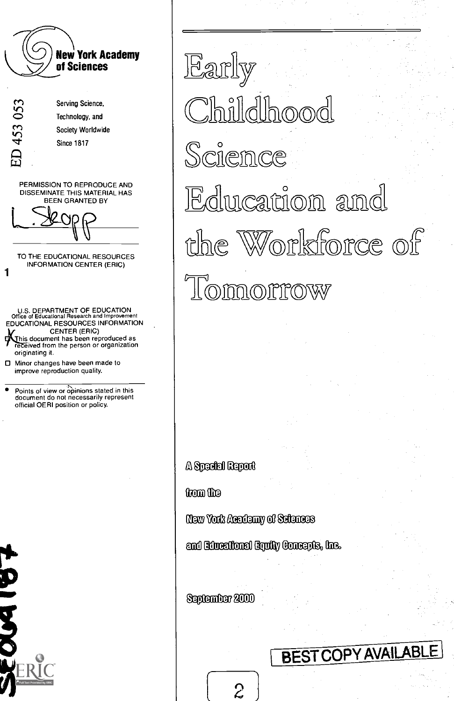

Early ahildhood Science Edwcation and the Workforce of Lomorrow

Special Report

from the

Academy ce Mglecc)

Educational Equity Concepts, Inc.

September 2000

### **BEST COPY AVAILABL**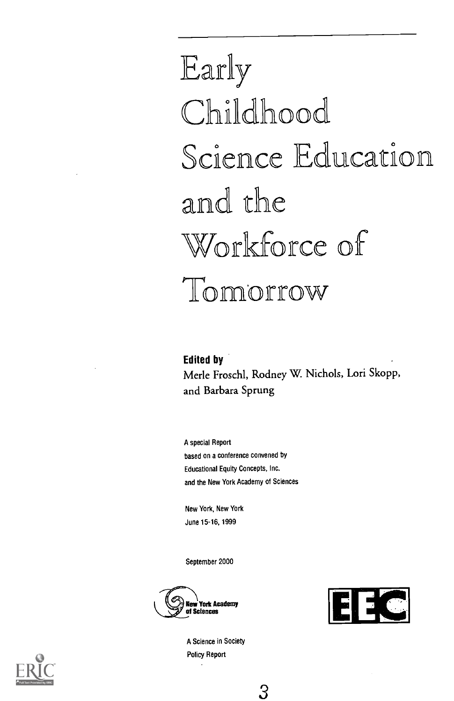## Early Childhood Science Education and the Workforce of Tomorrow

Edited by Merle Froschl, Rodney W. Nichols, Lori Skopp, and Barbara Sprung

A special Report based on a conference convened by Educational Equity Concepts, Inc. and the New York Academy of Sciences

New York, New York June 15-16, 1999

September 2000







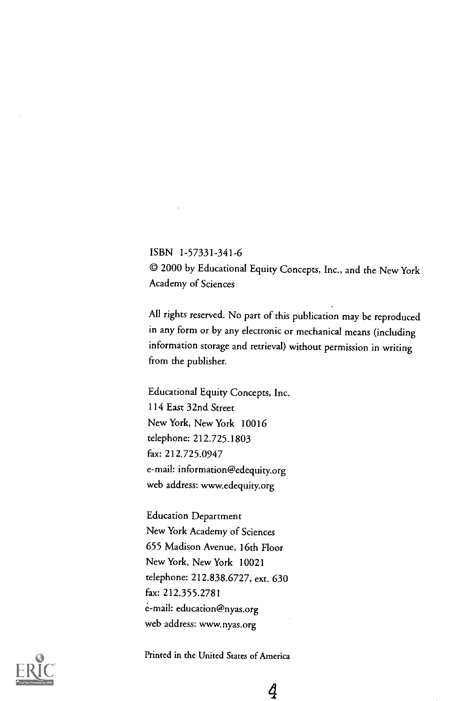ISBN 1-57331-341-6 CO 2000 by Educational Equity Concepts, Inc., and the New York Academy of Sciences

All rights reserved. No part of this publication may be reproduced in any form or by any electronic or mechanical means (including information storage and retrieval) without permission in writing from the publisher.

Educational Equity Concepts, Inc. 114 East 32nd Street New York, New York 10016 telephone: 212.725.1803 fax: 212.725.0947 e-mail: information@edequity.org web address: www.edequity.org

Education Department New York Academy of Sciences 655 Madison Avenue, 16th Floor New York, New York 10021 telephone: 212.838.6727, ext. 630 fax: 212.355.2781 e-mail: education@nyas.org web address: www.nyas.org



Printed in the United States of America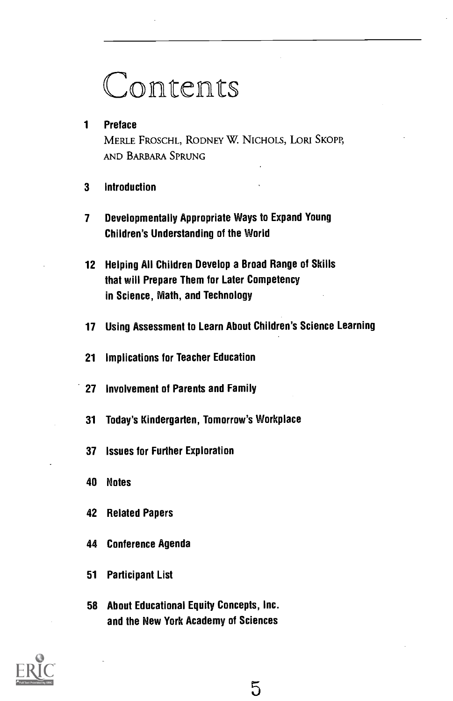## Contents

#### Preface

MERLE FROSCHL, RODNEY W. NICHOLS, LORI SKOPP, AND BARBARA SPRUNG

- Introduction
- Developmentally Appropriate Ways to Expand Young Children's Understanding of the World
- Helping All Children Develop a Broad Range of Skills that will Prepare Them for Later Competency in Science, Math, and Technology
- Using Assessment to Learn About Children's Science Learning
- Implications for Teacher Education
- Involvement of Parents and Family
- Today's Kindergarten, Tomorrow's Workplace
- Issues for Further Exploration
- Notes
- Related Papers
- Conference Agenda
- Participant List
- About Educational Equity Concepts, Inc. and the New York Academy of Sciences

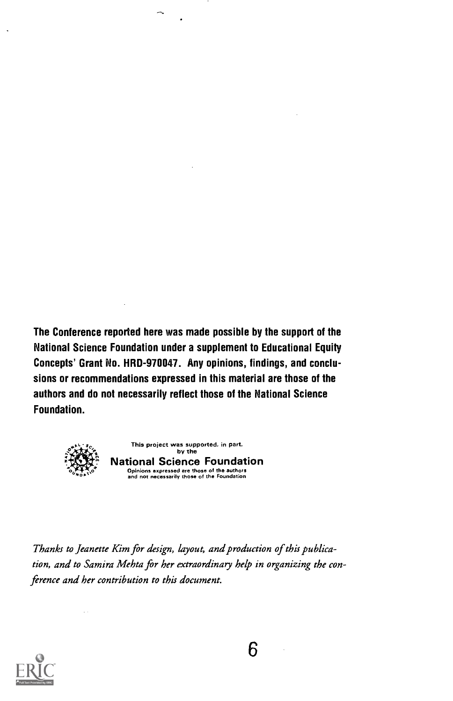The Conference reported here was made possible by the support of the National Science Foundation under a supplement to Educational Equity Concepts' Grant No. HRD-970047. Any opinions, findings, and conclusions or recommendations expressed in this material are those of the authors and do not necessarily reflect those of the National Science Foundation.



This project was supported, in part. by the National Science Foundation Opinions expressed are those of the authors and not necessarily those of the Foundation

Thanks to Jeanette Kim for design, layout, and production of this publication, and to Samira Mehta for her extraordinary help in organizing the conference and her contribution to this document.

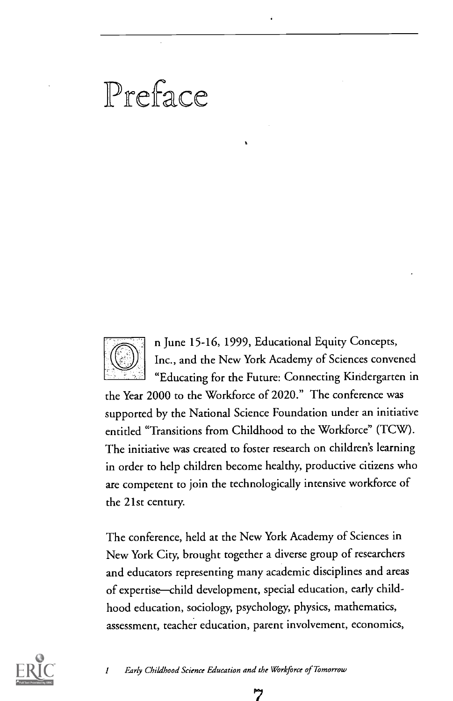### Preface



n June 15-16, 1999, Educational Equity Concepts, Inc., and the New York Academy of Sciences convened "Educating for the Future: Connecting Kindergarten in

the Year 2000 to the Workforce of 2020." The conference was supported by the National Science Foundation under an initiative entitled "Transitions from Childhood to the Workforce" (TCW). The initiative was created to foster research on children's learning in order to help children become healthy, productive citizens who are competent to join the technologically intensive workforce of the 21st century.

The conference, held at the New York Academy of Sciences in New York City, brought together a diverse group of researchers and educators representing many academic disciplines and areas of expertise-child development, special education, early childhood education, sociology, psychology, physics, mathematics, assessment, teacher education, parent involvement, economics,



1 Early Childhood Science Education and the Workforce of Tomorrow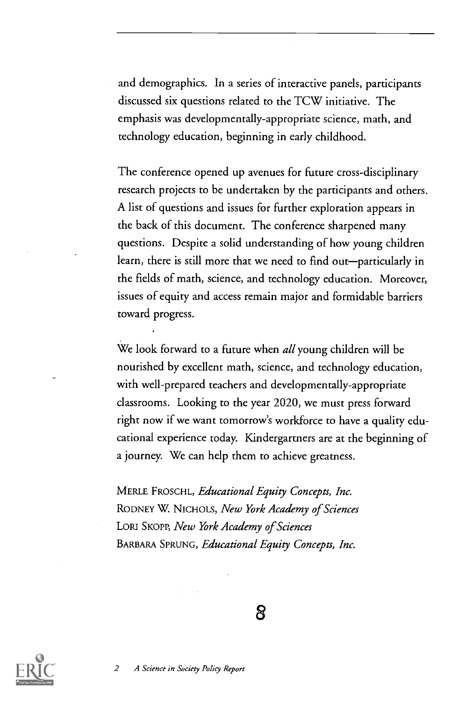and demographics. In a series of interactive panels, participants discussed six questions related to the TCW initiative. The emphasis was developmentally-appropriate science, math, and technology education, beginning in early childhood.

The conference opened up avenues for future cross-disciplinary research projects to be undertaken by the participants and others. A list of questions and issues for further exploration appears in the back of this document. The conference sharpened many questions. Despite a solid understanding of how young children learn, there is still more that we need to find out-particularly in the fields of math, science, and technology education. Moreover, issues of equity and access remain major and formidable barriers toward progress.

We look forward to a future when *all* young children will be nourished by excellent math, science, and technology education, with well-prepared teachers and developmentally-appropriate classrooms. Looking to the year 2020, we must press forward right now if we want tomorrow's workforce to have a quality educational experience today. Kindergartners are at the beginning of a journey. We can help them to achieve greatness.

MERLE FROSCHL, Educational Equity Concepts, Inc. RODNEY W. NICHOLS, New York Academy of Sciences LORI SKOPP, New York Academy of Sciences BARBARA SPRUNG, Educational Equity Concepts, Inc.

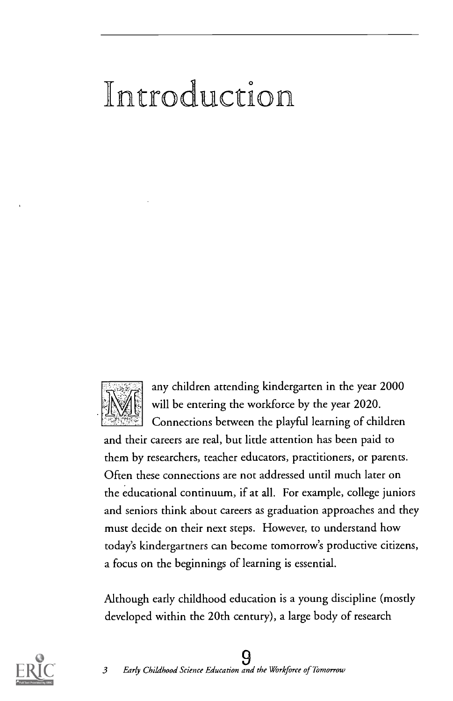## troduction



any children attending kindergarten in the year 2000 will be entering the workforce by the year 2020. Connections between the playful learning of children

and their careers are real, but little attention has been paid to them by researchers, teacher educators, practitioners, or parents. Often these connections are not addressed until much later on the educational continuum, if at all. For example, college juniors and seniors think about careers as graduation approaches and they must decide on their next steps. However, to understand how today's kindergartners can become tomorrow's productive citizens, a focus on the beginnings of learning is essential.

Although early childhood education is a young discipline (mostly developed within the 20th century), a large body of research



### 9 3 Early Childhood Science Education and the Workforce of Tomorrow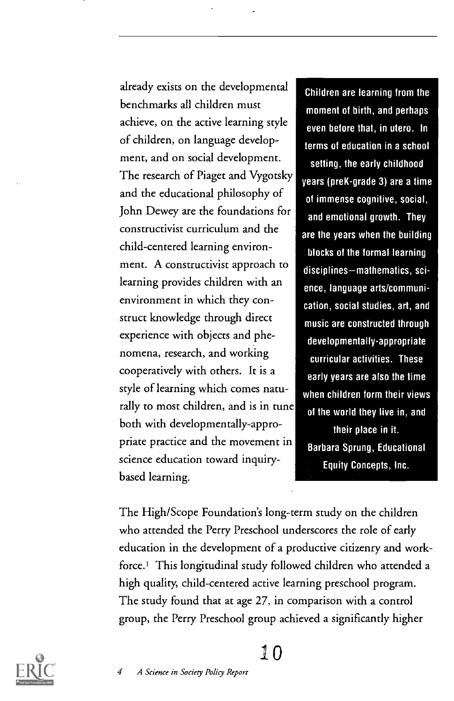already exists on the developmental benchmarks all children must achieve, on the active learning style of children, on language development, and on social development. The research of Piaget and Vygotsky and the educational philosophy of John Dewey are the foundations for constructivist curriculum and the child-centered learning environment. A constructivist approach to learning provides children with an environment in which they construct knowledge through direct experience with objects and phenomena, research, and working cooperatively with others. It is a style of learning which comes naturally to most children, and is in tune both with developmentally-appropriate practice and the movement in science education toward inquirybased learning.

Children are learning from the moment of birth, and perhaps even before that, in utero. In terms of education in a school setting, the early childhood years (preK-grade 3) are a time of immense cognitive, social, and emotional growth. They are the years when the building blocks of the formal learning disciplines-mathematics, science, language arts/communication, social studies, art, and music are constructed through developmentally-appropriate curricular activities. These early years are also the time when children form their views of the world they live in, and their place in it. Barbara Sprung, Educational Equity Concepts, Inc.

The High/Scope Foundation's long-term study on the children who attended the Perry Preschool underscores the role of early education in the development of a productive citizenry and workforce.' This longitudinal study followed children who attended a high quality, child-centered active learning preschool program. The study found that at age 27, in comparison with a control group, the Perry Preschool group achieved a significantly higher

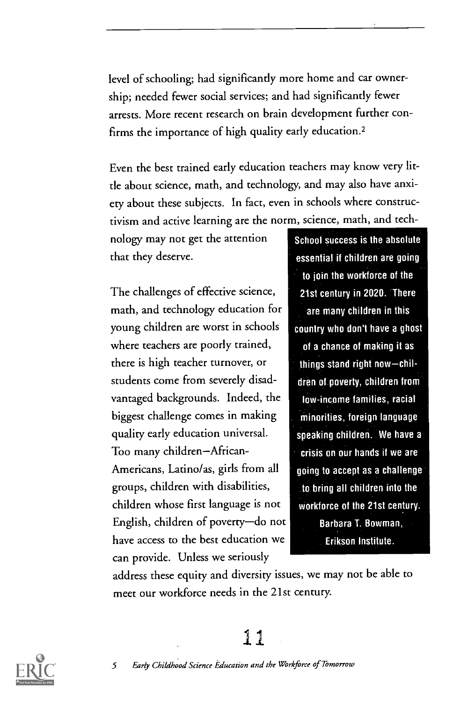level of schooling; had significantly more home and car ownership; needed fewer social services; and had significantly fewer arrests. More recent research on brain development further confirms the importance of high quality early education.2

Even the best trained early education teachers may know very little about science, math, and technology, and may also have anxiety about these subjects. In fact, even in schools where constructivism and active learning are the norm, science, math, and tech-

nology may not get the attention that they deserve.

The challenges of effective science, math, and technology education for young children are worst in schools where teachers are poorly trained, there is high teacher turnover, or students come from severely disadvantaged backgrounds. Indeed, the biggest challenge comes in making quality early education universal. Too many children-African-Americans, Latino/as, girls from all groups, children with disabilities, children whose first language is not English, children of poverty-do not have access to the best education we can provide. Unless we seriously

School success is the absolute essential if children are going to join the workforce of the 21st century in 2020. There are many children in this country who don't have a ghost of a chance of making it as things stand right now-children of poverty, children from low-income families, racial minorities, foreign language speaking children. We have a crisis on our hands if we are going to accept as a challenge to bring all children into the workforce of the 21st century. Barbara T. Bowman,

Erikson Institute.

address these equity and diversity issues, we may not be able to meet our workforce needs in the 21st century.

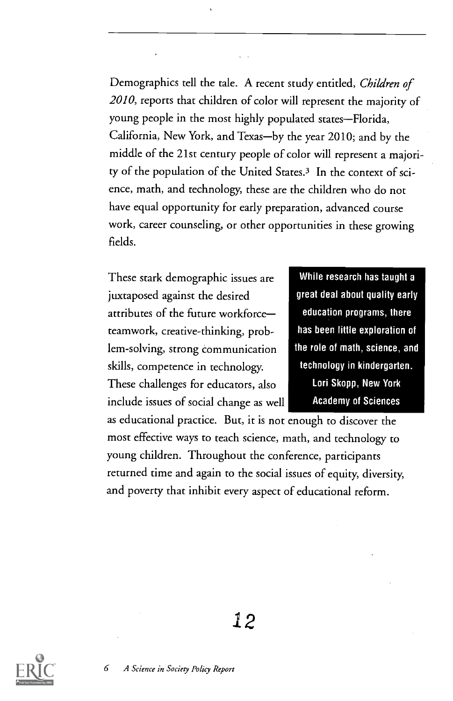Demographics tell the tale. A recent study entitled, Children of 2010, reports that children of color will represent the majority of young people in the most highly populated states-Florida, California, New York, and Texas-by the year 2010; and by the middle of the 21st century people of color will represent a majority of the population of the United States.3 In the context of science, math, and technology, these are the children who do not have equal opportunity for early preparation, advanced course work, career counseling, or other opportunities in these growing fields.

These stark demographic issues are juxtaposed against the desired attributes of the future workforce teamwork, creative-thinking, problem-solving, strong communication skills, competence in technology. These challenges for educators, also include issues of social change as well

While research has taught a great deal about quality early education programs, there has been little exploration of the role of math, science, and technology in kindergarten. Lori Skopp, New York Academy of Sciences

as educational practice. But, it is not enough to discover the most effective ways to teach science, math, and technology to young children. Throughout the conference, participants returned time and again to the social issues of equity, diversity, and poverty that inhibit every aspect of educational reform.

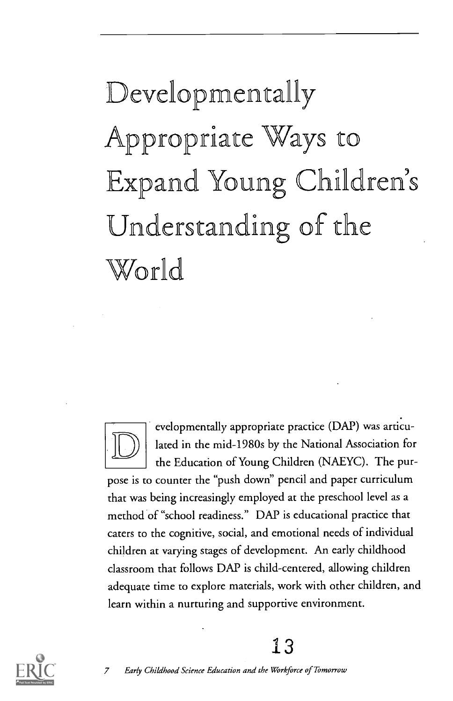## Developmentally Appropriate Ways to Expand Young Children's Understanding of the World



evelopmentally appropriate practice (DAP) was articulated in the mid-1980s by the National Association for the Education of Young Children (NAEYC). The pur-

pose is to counter the "push down" pencil and paper curriculum that was being increasingly employed at the preschool level as a method of "school readiness." DAP is educational practice that caters to the cognitive, social, and emotional needs of individual children at varying stages of development. An early childhood classroom that follows DAP is child-centered, allowing children adequate time to explore materials, work with other children, and learn within a nurturing and supportive environment.



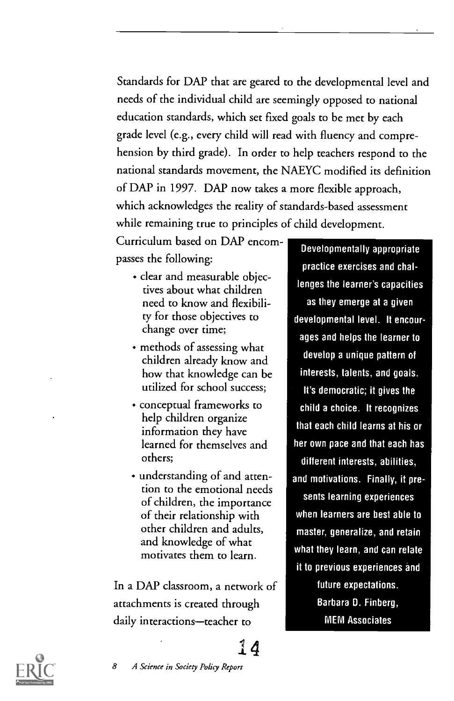Standards for DAP that are geared to the developmental level and needs of the individual child are seemingly opposed to national education standards, which set fixed goals to be met by each grade level (e.g., every child will read with fluency and comprehension by third grade). In order to help teachers respond to the national standards movement, the NAEYC modified its definition of DAP in 1997. DAP now takes a more flexible approach, which acknowledges the reality of standards-based assessment while remaining true to principles of child development.

Curriculum based on DAP encompasses the following:

- clear and measurable objectives about what children need to know and flexibility for those objectives to change over time;
- methods of assessing what children already know and how that knowledge can be utilized for school success;
- conceptual frameworks to help children organize information they have learned for themselves and others;
- understanding of and attention to the emotional needs of children, the importance of their relationship with other children and adults, and knowledge of what motivates them to learn.

In a DAP classroom, a network of attachments is created through daily interactions-teacher to

Developmentally appropriate practice exercises and challenges the learner's capacities as they emerge at a given developmental level. It encourages and helps the learner to develop a unique pattern of interests, talents, and goals. It's democratic; it gives the child a choice. It recognizes that each child learns at his or her own pace and that each has different interests, abilities, and motivations. Finally, it presents learning experiences when learners are best able to master, generalize, and retain what they learn, and can relate it to previous experiences and future expectations. Barbara D. Finberg, MEM Associates



14

8 A Science in Society Policy Report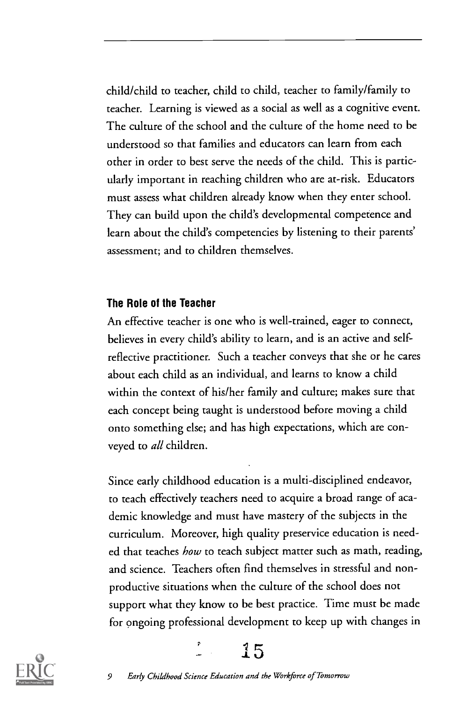child/child to teacher, child to child, teacher to family/family to teacher. Learning is viewed as a social as well as a cognitive event. The culture of the school and the culture of the home need to be understood so that families and educators can learn from each other in order to best serve the needs of the child. This is particularly important in reaching children who are at-risk. Educators must assess what children already know when they enter school. They can build upon the child's developmental competence and learn about the child's competencies by listening to their parents' assessment; and to children themselves.

#### The Role of the Teacher

An effective teacher is one who is well-trained, eager to connect, believes in every child's ability to learn, and is an active and selfreflective practitioner. Such a teacher conveys that she or he cares about each child as an individual, and learns to know a child within the context of his/her family and culture; makes sure that each concept being taught is understood before moving a child onto something else; and has high expectations, which are conveyed to all children.

Since early childhood education is a multi-disciplined endeavor, to teach effectively teachers need to acquire a broad range of academic knowledge and must have mastery of the subjects in the curriculum. Moreover, high quality preservice education is needed that teaches *how* to teach subject matter such as math, reading, and science. Teachers often find themselves in stressful and nonproductive situations when the culture of the school does not support what they know to be best practice. Time must be made for ongoing professional development to keep up with changes in



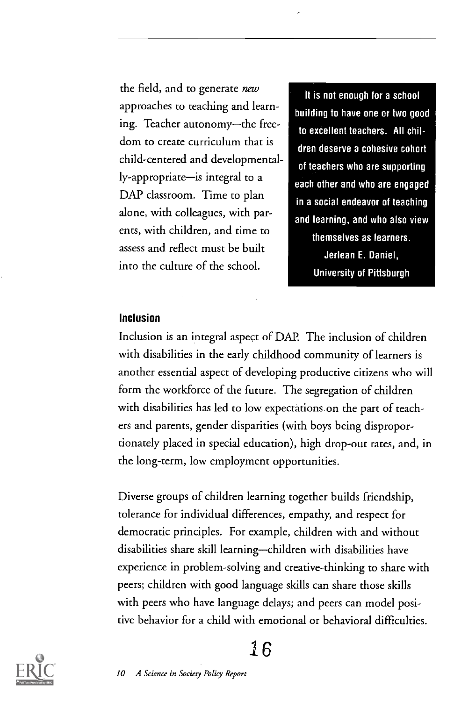the field, and to generate new approaches to teaching and learning. Teacher autonomy-the freedom to create curriculum that is child-centered and developmentally-appropriate-is integral to a DAP classroom. Time to plan alone, with colleagues, with parents, with children, and time to assess and reflect must be built into the culture of the school.

It is not enough for a school building to have one or two good to excellent teachers. All children deserve a cohesive cohort of teachers who are supporting each other and who are engaged in a social endeavor of teaching and learning, and who also view themselves as learners. Jerlean E. Daniel, University of Pittsburgh

#### Inclusion

Inclusion is an integral aspect of DAP. The inclusion of children with disabilities in the early childhood community of learners is another essential aspect of developing productive citizens who will form the workforce of the future. The segregation of children with disabilities has led to low expectations on the part of teachers and parents, gender disparities (with boys being disproportionately placed in special education), high drop-out rates, and, in the long-term, low employment opportunities.

Diverse groups of children learning together builds friendship, tolerance for individual differences, empathy, and respect for democratic principles. For example, children with and without disabilities share skill learning-children with disabilities have experience in problem-solving and creative-thinking to share with peers; children with good language skills can share those skills with peers who have language delays; and peers can model positive behavior for a child with emotional or behavioral difficulties.



#### 16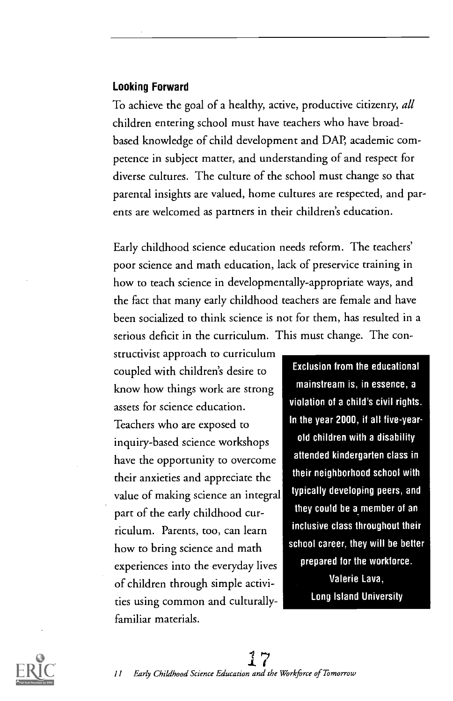#### Looking Forward

To achieve the goal of a healthy, active, productive citizenry, all children entering school must have teachers who have broadbased knowledge of child development and DAP, academic competence in subject matter, and understanding of and respect for diverse cultures. The culture of the school must change so that parental insights are valued, home cultures are respected, and parents are welcomed as partners in their children's education.

Early childhood science education needs reform. The teachers' poor science and math education, lack of preservice training in how to teach science in developmentally-appropriate ways, and the fact that many early childhood teachers are female and have been socialized to think science is not for them, has resulted in a serious deficit in the curriculum. This must change. The con-

structivist approach to curriculum coupled with children's desire to know how things work are strong assets for science education. Teachers who are exposed to inquiry-based science workshops have the opportunity to overcome their anxieties and appreciate the value of making science an integral part of the early childhood curriculum. Parents, too, can learn how to bring science and math experiences into the everyday lives of children through simple activities using common and culturallyfamiliar materials.

Exclusion from the educational mainstream is, in essence, a violation of a child's civil rights. In the year 2000, if all five-yearold children with a disability attended kindergarten class in their neighborhood school with typically developing peers, and they could be a member of an inclusive class throughout their school career, they will be better prepared for the workforce. Valerie Lava, Long Island University

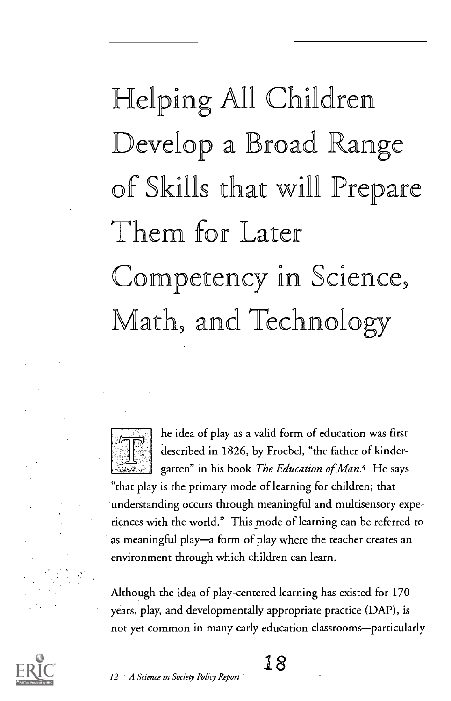## Helping All Children Develop a Broad Ra of Skills that will Prepare Them for Later Competency in Science, Math, and Technology



he idea of play as a valid form of education was first described in 1826, by Froebel, "the father of kindergarten" in his book The Education of Man.<sup>4</sup> He says

`that play is the primary mode of learning for children; that understanding occurs through meaningful and multisensory experiences with the world." This mode of learning can be referred to as meaningful play-a form of play where the teacher creates an environment through which children can learn.

Although the idea of play-centered learning has existed for 170 years, play, and developmentally appropriate practice (DAP), is not yet common in many early education classrooms-particularly



12 A Science in Society Policy Report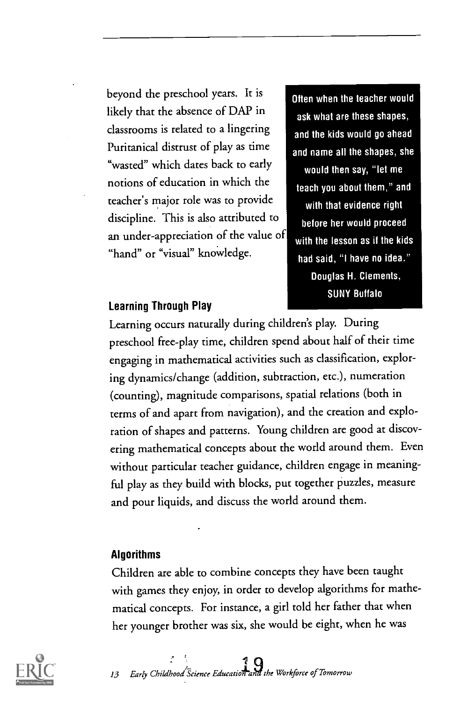beyond the preschool years. It is likely that the absence of DAP in classrooms is related to a lingering Puritanical distrust of play as time "wasted" which dates back to early notions of education in which the teacher's major role was to provide discipline. This is also attributed to an under-appreciation of the value of "hand" or "visual" knowledge.

Often when the teacher would ask what are these shapes, and the kids would go ahead and name all the shapes, she would then say, "let me teach you about them," and with that evidence right before her would proceed with the lesson as if the kids had said, "I have no idea." Douglas H. Clements, SUNY Buffalo

#### Learning Through Play

Learning occurs naturally during children's play. During preschool free-play time, children spend about half of their time engaging in mathematical activities such as classification, exploring dynamics/change (addition, subtraction, etc.), numeration (counting), magnitude comparisons, spatial relations (both in terms of and apart from navigation), and the creation and exploration of shapes and patterns. Young children are good at discovering mathematical concepts about the world around them. Even without particular teacher guidance, children engage in meaningful play as they build with blocks, put together puzzles, measure and pour liquids, and discuss the world around them.

#### Algorithms

Children are able to combine concepts they have been taught with games they enjoy, in order to develop algorithms for mathematical concepts. For instance, a girl told her father that when her younger brother was six, she would be eight, when he was



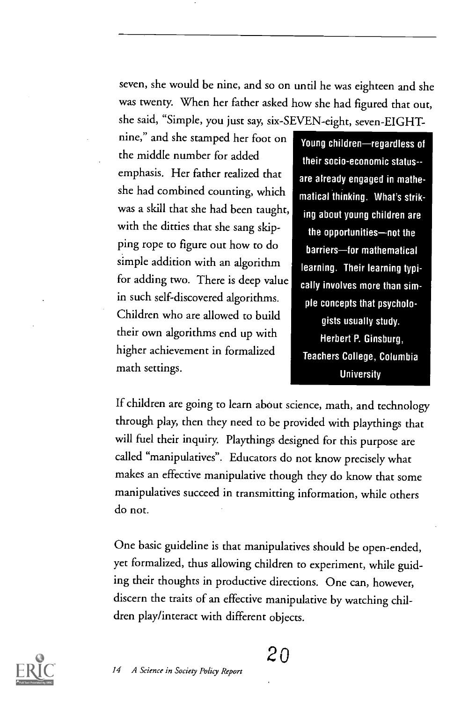seven, she would be nine, and so on until he was eighteen and she was twenty. When her father asked how she had figured that out, she said, "Simple, you just say, six-SEVEN-eight, seven-EIGHT-

nine," and she stamped her foot on the middle number for added emphasis. Her father realized that she had combined counting, which was a skill that she had been taught, with the ditties that she sang skipping rope to figure out how to do simple addition with an algorithm for adding two. There is deep value in such self-discovered algorithms. Children who are allowed to build their own algorithms end up with higher achievement in formalized math settings.

Young children-regardless of their socio-economic status- are already engaged in mathematical thinking. What's striking about young children are the opportunities-not the barriers-for mathematical learning. Their learning typically involves more than simple concepts that psychologists usually study. Herbert P. Ginsburg, Teachers College, Columbia **University** 

If children are going to learn about science, math, and technology through play, then they need to be provided with playthings that will fuel their inquiry. Playthings designed for this purpose are called "manipulatives". Educators do not know precisely what makes an effective manipulative though they do know that some manipulatives succeed in transmitting information, while others do not.

One basic guideline is that manipulatives should be open-ended, yet formalized, thus allowing children to experiment, while guiding their thoughts in productive directions. One can, however, discern the traits of an effective manipulative by watching children play/interact with different objects.

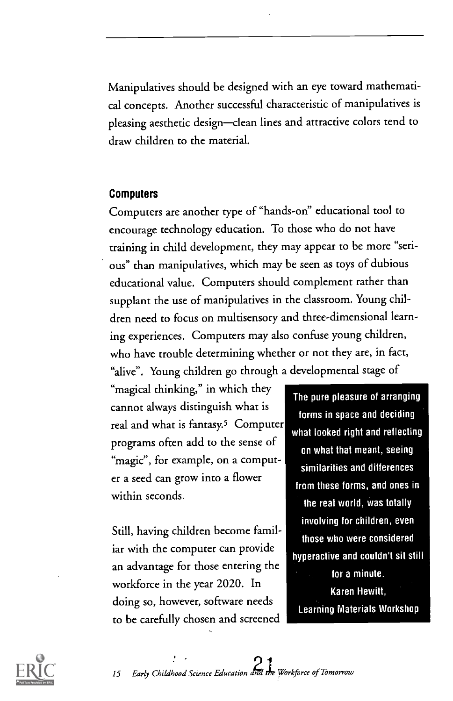Manipulatives should be designed with an eye toward mathematical concepts. Another successful characteristic of manipulatives is pleasing aesthetic design-clean lines and attractive colors tend to draw children to the material.

#### Computers

Computers are another type of "hands-on" educational tool to encourage technology education. To those who do not have training in child development, they may appear to be more "serious" than manipulatives, which may be seen as toys of dubious educational value. Computers should complement rather than supplant the use of manipulatives in the classroom. Young children need to focus on multisensory and three-dimensional learning experiences. Computers may also confuse young children, who have trouble determining whether or not they are, in fact, "alive". Young children go through a developmental stage of

"magical thinking," in which they cannot always distinguish what is real and what is fantasy.5 Computer programs often add to the sense of "magic", for example, on a computer a seed can grow into a flower within seconds.

Still, having children become familiar with the computer can provide an advantage for those entering the workforce in the year 2020. In doing so, however, software needs to be carefully chosen and screened

The pure pleasure of arranging forms in space and deciding what looked right and reflecting on what that meant, seeing similarities and differences from these forms, and ones in the real world, was totally involving for children, even those who were considered hyperactive and couldn't sit still for a minute.

Karen Hewitt, Learning Materials Workshop

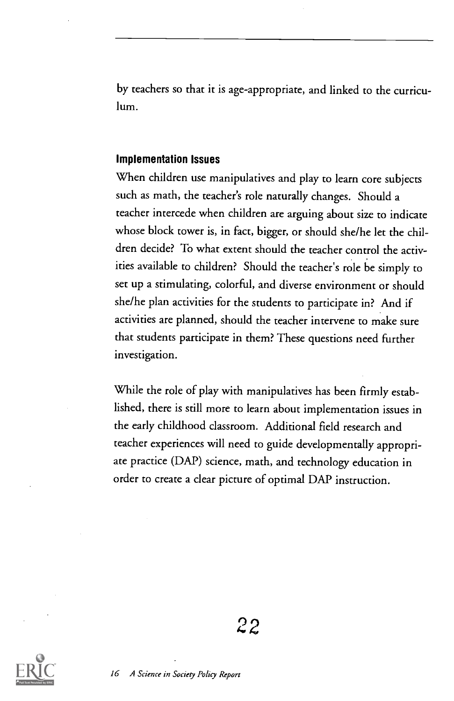by teachers so that it is age-appropriate, and linked to the curriculum.

#### Implementation Issues

When children use manipulatives and play to learn core subjects such as math, the teacher's role naturally changes. Should a teacher intercede when children are arguing about size to indicate whose block tower is, in fact, bigger, or should she/he let the children decide? To what extent should the teacher control the activities available to children? Should the teacher's role be simply to set up a stimulating, colorful, and diverse environment or should she/he plan activities for the students to participate in? And if activities are planned, should the teacher intervene to make sure that students participate in them? These questions need further investigation.

While the role of play with manipulatives has been firmly established, there is still more to learn about implementation issues in the early childhood classroom. Additional field research and teacher experiences will need to guide developmentally appropriate practice (DAP) science, math, and technology education in order to create a clear picture of optimal DAP instruction.

22

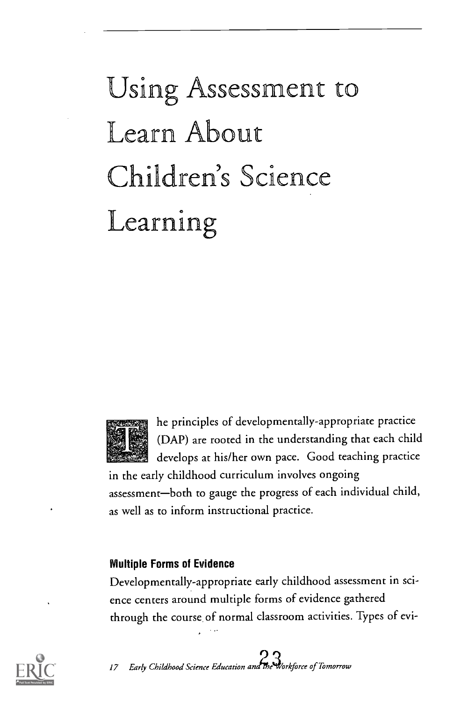## Using Assessment to Learn About Children's Science Learning



he principles of developmentally-appropriate practice (DAP) are rooted in the understanding that each child develops at his/her own pace. Good teaching practice

in the early childhood curriculum involves ongoing assessment-both to gauge the progress of each individual child, as well as to inform instructional practice.

#### Multiple Forms of Evidence

Developmentally-appropriate early childhood assessment in science centers around multiple forms of evidence gathered through the course of normal classroom activities. Types of evi-



17 Early Childhood Science Education and the Workforce of Tomorrow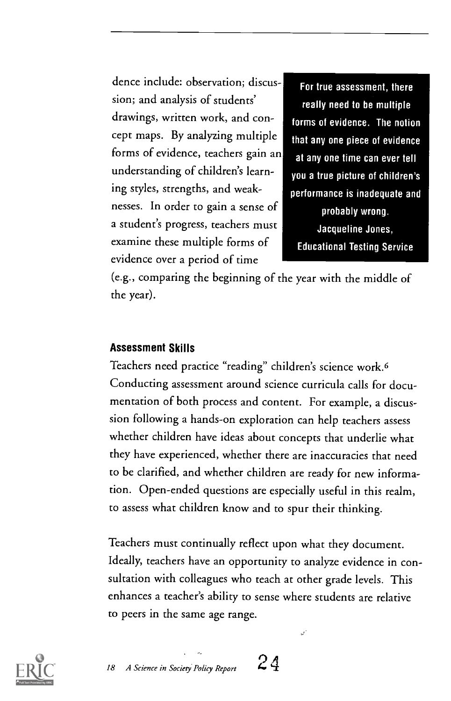dence include: observation; discussion; and analysis of students' drawings, written work, and concept maps. By analyzing multiple forms of evidence, teachers gain an understanding of children's learning styles, strengths, and weaknesses. In order to gain a sense of a student's progress, teachers must examine these multiple forms of evidence over a period of time

For true assessment, there really need to be multiple forms of evidence. The notion that any one piece of evidence at any one time can ever tell you a true picture of children's performance is inadequate and probably wrong. Jacqueline Jones, Educational Testing Service

(e.g., comparing the beginning of the year with the middle of the year).

#### Assessment Skills

Teachers need practice "reading" children's science work.6 Conducting assessment around science curricula calls for documentation of both process and content. For example, a discussion following a hands-on exploration can help teachers assess whether children have ideas about concepts that underlie what they have experienced, whether there are inaccuracies that need to be clarified, and whether children are ready for new information. Open-ended questions are especially useful in this realm, to assess what children know and to spur their thinking.

Teachers must continually reflect upon what they document. Ideally, teachers have an opportunity to analyze evidence in consultation with colleagues who teach at other grade levels. This enhances a teacher's ability to sense where students are relative to peers in the same age range.

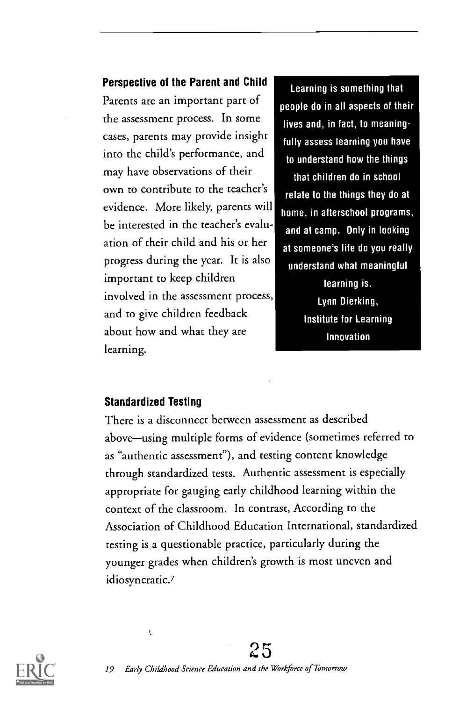#### Perspective of the Parent and Child

Parents are an important part of the assessment process. In some cases, parents may provide insight into the child's performance, and may have observations of their own to contribute to the teacher's evidence. More likely, parents will be interested in the teacher's evaluation of their child and his or her progress during the year. It is also important to keep children involved in the assessment process, and to give children feedback about how and what they are learning.

Learning is something that people do in all aspects of their lives and, in fact, to meaningfully assess learning you have to understand how the things that children do in school relate to the things they do at home, in afterschool programs, and at camp. Only in looking at someone's life do you really understand what meaningful learning is. Lynn Dierking, Institute for Learning Innovation

#### Standardized Testing

ŧ,

There is a disconnect between assessment as described above-using multiple forms of evidence (sometimes referred to as "authentic assessment"), and testing content knowledge through standardized tests. Authentic assessment is especially appropriate for gauging early childhood learning within the context of the classroom. In contrast, According to the Association of Childhood Education International, standardized testing is a questionable practice, particularly during the younger grades when children's growth is most uneven and idiosyncratic.?

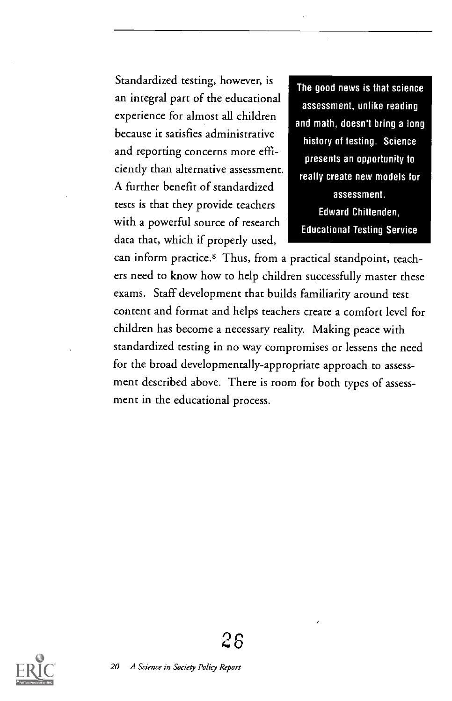Standardized testing, however, is an integral part of the educational experience for almost all children because it satisfies administrative and reporting concerns more efficiently than alternative assessment. A further benefit of standardized tests is that they provide teachers with a powerful source of research data that, which if properly used,

The good news is that science assessment, unlike reading and math, doesn't bring a long history of testing. Science presents an opportunity to really create new models for assessment. Edward Chittenden, Educational Testing Service

can inform practice.8 Thus, from a practical standpoint, teachers need to know how to help children successfully master these exams. Staff development that builds familiarity around test content and format and helps teachers create a comfort level for children has become a necessary reality. Making peace with standardized testing in no way compromises or lessens the need for the broad developmentally-appropriate approach to assessment described above. There is room for both types of assessment in the educational process.

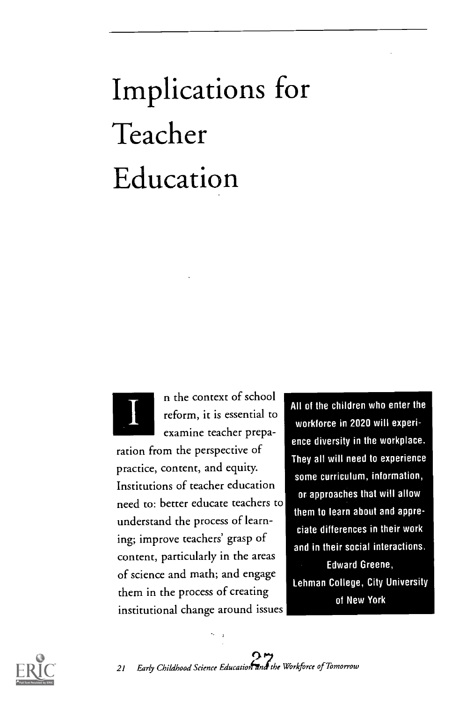## Implications for Teacher Education



n the context of school reform, it is essential to examine teacher prepa-

ration from the perspective of practice, content, and equity. Institutions of teacher education need to: better educate teachers to understand the process of learning; improve teachers' grasp of content, particularly in the areas of science and math; and engage them in the process of creating institutional change around issues All of the children who enter the workforce in 2020 will experience diversity in the workplace. They all will need to experience some curriculum, information, or approaches that will allow them to learn about and appreciate differences in their work and in their social interactions. Edward Greene, Lehman College, City University of New York

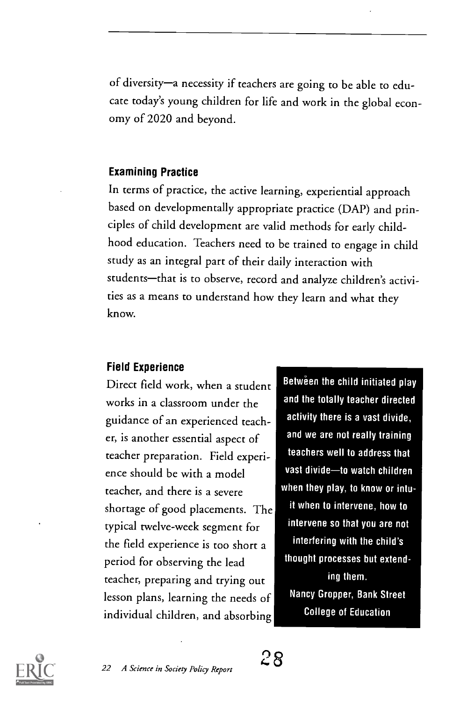of diversity-a necessity if teachers are going to be able to educate today's young children for life and work in the global economy of 2020 and beyond.

#### Examining Practice

In terms of practice, the active learning, experiential approach based on developmentally appropriate practice (DAP) and principles of child development are valid methods for early childhood education. Teachers need to be trained to engage in child study as an integral part of their daily interaction with students-that is to observe, record and analyze children's activities as a means to understand how they learn and what they know.

#### Field Experience

Direct field work, when a student works in a classroom under the guidance of an experienced teacher, is another essential aspect of teacher preparation. Field experience should be with a model teacher, and there is a severe shortage of good placements. The typical twelve-week segment for the field experience is too short a period for observing the lead teacher, preparing and trying out lesson plans, learning the needs of individual children, and absorbing

22 A Science in Society Policy Report

Between the child initiated play and the totally teacher directed activity there is a vast divide, and we are not really training teachers well to address that vast divide-to watch children when they play, to know or intuit when to intervene, how to intervene so that you are not interfering with the child's thought processes but extending them. Nancy Gropper, Bank Street College of Education

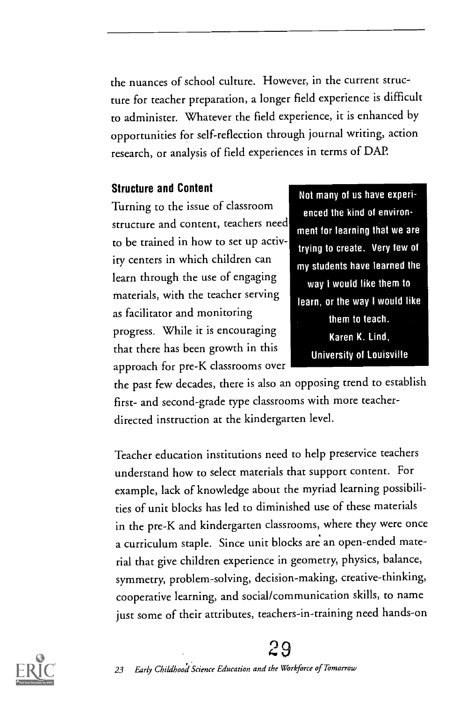the nuances of school culture. However, in the current structure for teacher preparation, a longer field experience is difficult to administer. Whatever the field experience, it is enhanced by opportunities for self-reflection through journal writing, action research, or analysis of field experiences in terms of DAP.

#### Structure and Content

Turning to the issue of classroom structure and content, teachers need to be trained in how to set up activity centers in which children can learn through the use of engaging materials, with the teacher serving as facilitator and monitoring progress. While it is encouraging that there has been growth in this approach for pre-K classrooms over

Not many of us have experienced the kind of environment for learning that we are trying to create. Very few of my students have learned the way I would like them to learn, or the way I would like them to teach. Karen K. Lind, University of Louisville

the past few decades, there is also an opposing trend to establish first- and second-grade type classrooms with more teacherdirected instruction at the kindergarten level.

Teacher education institutions need to help preservice teachers understand how to select materials that support content. For example, lack of knowledge about the myriad learning possibilities of unit blocks has led to diminished use of these materials in the pre-K and kindergarten classrooms, where they were once a curriculum staple. Since unit blocks are an open-ended material that give children experience in geometry, physics, balance, symmetry, problem-solving, decision-making, creative-thinking, cooperative learning, and social/communication skills, to name just some of their attributes, teachers-in-training need hands-on



#### ?9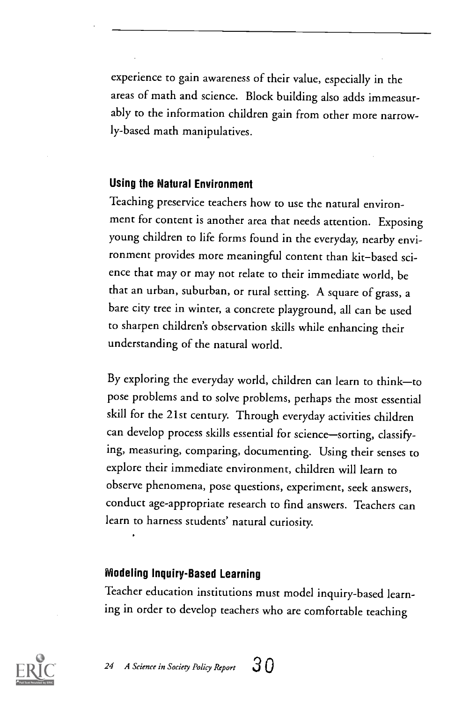experience to gain awareness of their value, especially in the areas of math and science. Block building also adds immeasurably to the information children gain from other more narrowly-based math manipulatives.

#### Using the Natural Environment

Teaching preservice teachers how to use the natural environment for content is another area that needs attention. Exposing young children to life forms found in the everyday, nearby environment provides more meaningful content than kit-based science that may or may not relate to their immediate world, be that an urban, suburban, or rural setting. A square of grass, a bare city tree in winter, a concrete playground, all can be used to sharpen children's observation skills while enhancing their understanding of the natural world.

By exploring the everyday world, children can learn to think-to pose problems and to solve problems, perhaps the most essential skill for the 21st century. Through everyday activities children can develop process skills essential for science-sorting, classifying, measuring, comparing, documenting. Using their senses to explore their immediate environment, children will learn to observe phenomena, pose questions, experiment, seek answers, conduct age-appropriate research to find answers. Teachers can learn to harness students' natural curiosity.

#### Modeling Inquiry-Based Learning

Teacher education institutions must model inquiry-based learning in order to develop teachers who are comfortable teaching



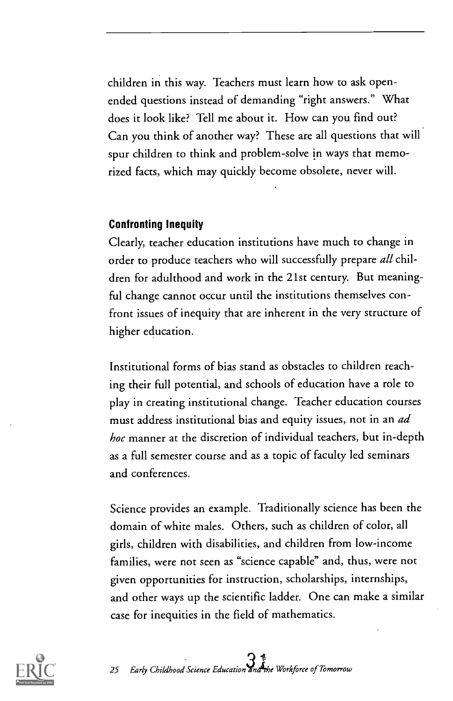children in this way. Teachers must learn how to ask openended questions instead of demanding "right answers." What does it look like? Tell me about it. How can you find out? Can you think of another way? These are all questions that will spur children to think and problem-solve in ways that memorized facts, which may quickly become obsolete, never will.

#### Confronting Inequity

Clearly, teacher education institutions have much to change in order to produce teachers who will successfully prepare all children for adulthood and work in the 21st century. But meaningful change cannot occur until the institutions themselves confront issues of inequity that are inherent in the very structure of higher education.

Institutional forms of bias stand as obstacles to children reaching their full potential, and schools of education have a role to play in creating institutional change. Teacher education courses must address institutional bias and equity issues, not in an ad hoc manner at the discretion of individual teachers, but in-depth as a full semester course and as a topic of faculty led seminars and conferences.

Science provides an example. Traditionally science has been the domain of white males. Others, such as children of color, all girls, children with disabilities, and children from low-income families, were not seen as "science capable" and, thus, were not given opportunities for instruction, scholarships, internships, and other ways up the scientific ladder. One can make a similar case for inequities in the field of mathematics.

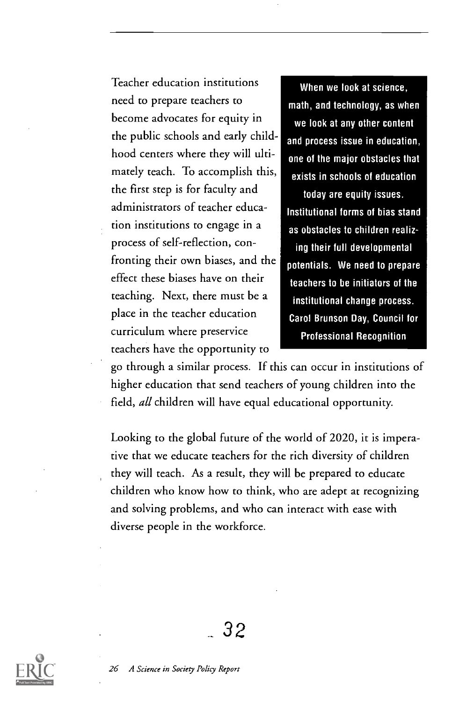Teacher education institutions need to prepare teachers to become advocates for equity in the public schools and early childhood centers where they will ultimately teach. To accomplish this, the first step is for faculty and administrators of teacher education institutions to engage in a process of self-reflection, confronting their own biases, and the effect these biases have on their teaching. Next, there must be a place in the teacher education curriculum where preservice teachers have the opportunity to

When we look at science, math, and technology, as when we look at any other content and process issue in education, one of the major obstacles that exists in schools of education today are equity issues. Institutional forms of bias stand as obstacles to children realizing their full developmental potentials. We need to prepare teachers to be initiators of the institutional change process. Carol Brunson Day, Council for

Professional Recognition

go through a similar process. If this can occur in institutions of higher education that send teachers of young children into the field, all children will have equal educational opportunity.

Looking to the global future of the world of 2020, it is imperative that we educate teachers for the rich diversity of children they will teach. As a result, they will be prepared to educate children who know how to think, who are adept at recognizing and solving problems, and who can interact with ease with diverse people in the workforce.

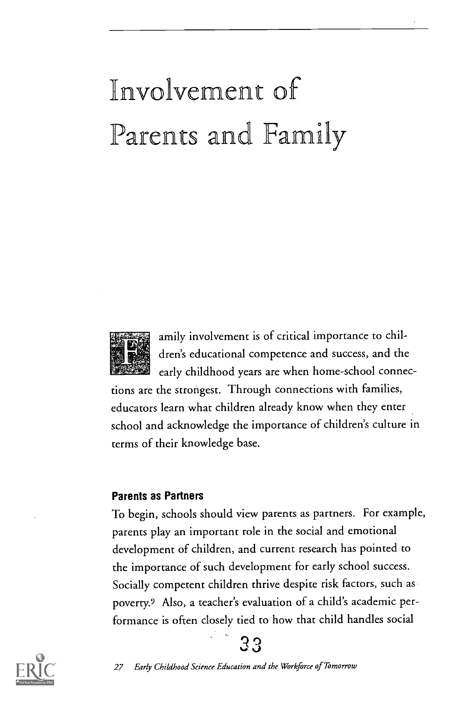## nvolvement of Parents and Family



amily involvement is of critical importance to children's educational competence and success, and the early childhood years are when home-school connec-

tions are the strongest. Through connections with families, educators learn what children already know when they enter school and acknowledge the importance of children's culture in terms of their knowledge base.

#### Parents as Partners

To begin, schools should view parents as partners. For example, parents play an important role in the social and emotional development of children, and current research has pointed to the importance of such development for early school success. Socially competent children thrive despite risk factors, such as poverty.9 Also, a teacher's evaluation of a child's academic performance is often closely tied to how that child handles social

33

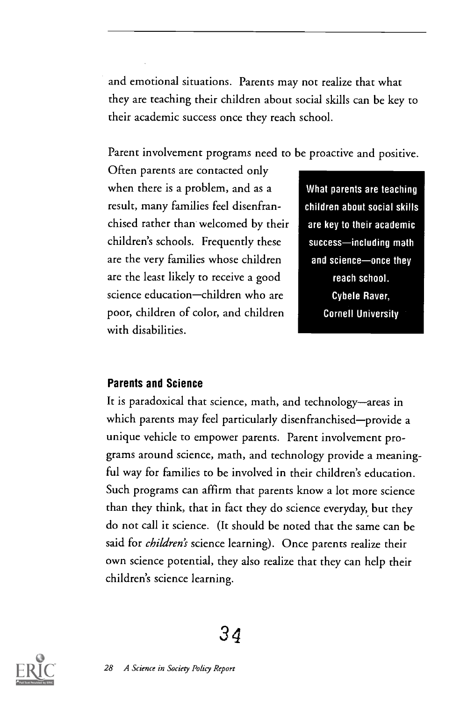and emotional situations. Parents may not realize that what they are teaching their children about social skills can be key to their academic success once they reach school.

Parent involvement programs need to be proactive and positive.

Often parents are contacted only when there is a problem, and as a result, many families feel disenfranchised rather than welcomed by their children's schools. Frequently these are the very families whose children are the least likely to receive a good science education-children who are poor, children of color, and children with disabilities.

What parents are teaching children about social skills are key to their academic success-including math and science-once they reach school. Cybele Raver, Cornell University

#### Parents and Science

It is paradoxical that science, math, and technology-areas in which parents may feel particularly disenfranchised—provide a unique vehicle to empower parents. Parent involvement programs around science, math, and technology provide a meaningful way for families to be involved in their children's education. Such programs can affirm that parents know a lot more science than they think, that in fact they do science everyday, but they do not call it science. (It should be noted that the same can be said for *children's* science learning). Once parents realize their own science potential, they also realize that they can help their children's science learning.

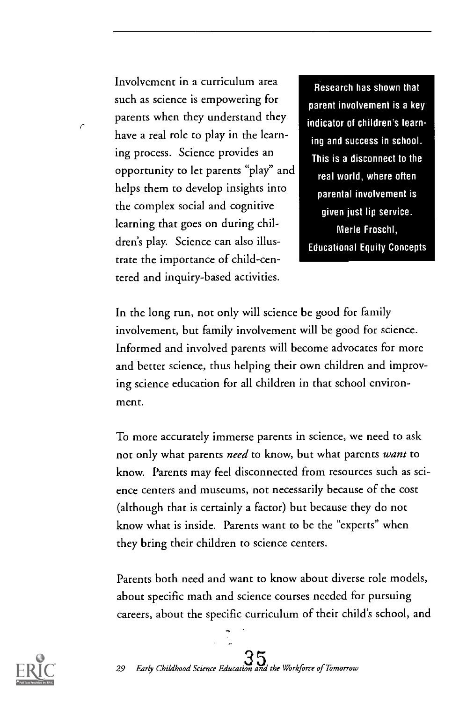Involvement in a curriculum area such as science is empowering for parents when they understand they have a real role to play in the learning process. Science provides an opportunity to let parents "play" and helps them to develop insights into the complex social and cognitive learning that goes on during children's play. Science can also illustrate the importance of child-centered and inquiry-based activities.

Research has shown that parent involvement is a key indicator of children's learning and success in school. This is a disconnect to the real world, where often parental involvement is given just lip service. Merle Froschl, Educational Equity Concepts

In the long run, not only will science be good for family involvement, but family involvement will be good for science. Informed and involved parents will become advocates for more and better science, thus helping their own children and improving science education for all children in that school environment.

To more accurately immerse parents in science, we need to ask not only what parents *need* to know, but what parents want to know. Parents may feel disconnected from resources such as science centers and museums, not necessarily because of the cost (although that is certainly a factor) but because they do not know what is inside. Parents want to be the "experts" when they bring their children to science centers.

Parents both need and want to know about diverse role models, about specific math and science courses needed for pursuing careers, about the specific curriculum of their child's school, and



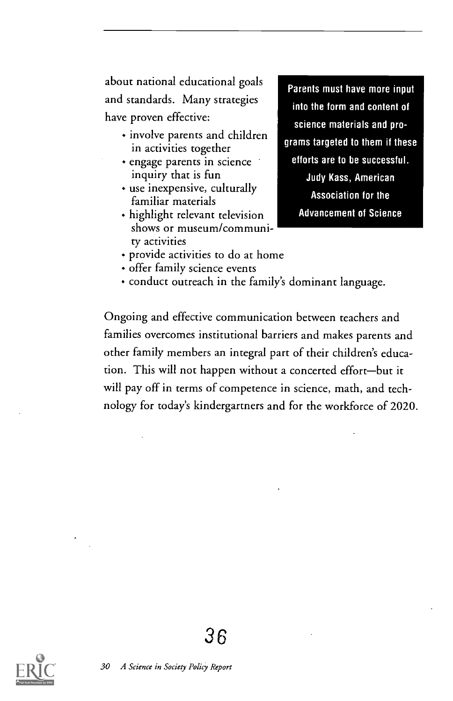about national educational goals and standards. Many strategies have proven effective:

- involve parents and children in activities together
- engage parents in science inquiry that is fun
- use inexpensive, culturally familiar materials
- highlight relevant television shows or museum/community activities

Parents must have more input into the form and content of science materials and programs targeted to them if these efforts are to be successful. Judy Kass, American Association for the Advancement of Science

- provide activities to do at home
- offer family science events
- conduct outreach in the family's dominant language.

Ongoing and effective communication between teachers and families overcomes institutional barriers and makes parents and other family members an integral part of their children's education. This will not happen without a concerted effort-but it will pay off in terms of competence in science, math, and technology for today's kindergartners and for the workforce of 2020.

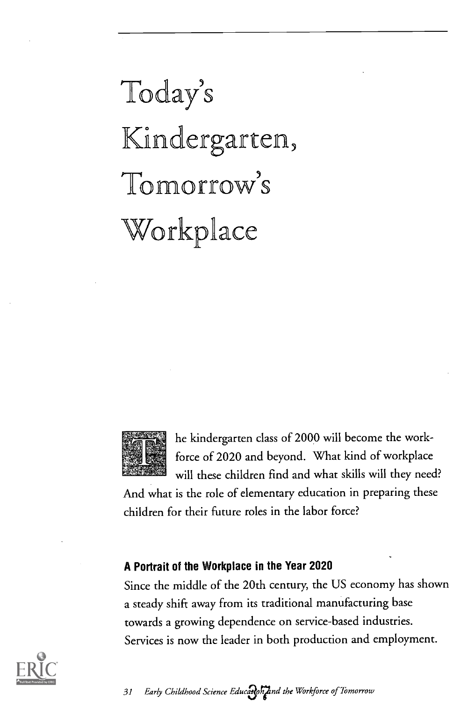## Today's Kindergarten, Tomorrow's Workplace



he kindergarten class of 2000 will become the workforce of 2020 and beyond. What kind of workplace will these children find and what skills will they need?

And what is the role of elementary education in preparing these children for their future roles in the labor force?

#### A Portrait of the Workplace in the Year 2020

Since the middle of the 20th century, the US economy has shown a steady shift away from its traditional manufacturing base towards a growing dependence on service-based industries. Services is now the leader in both production and employment.

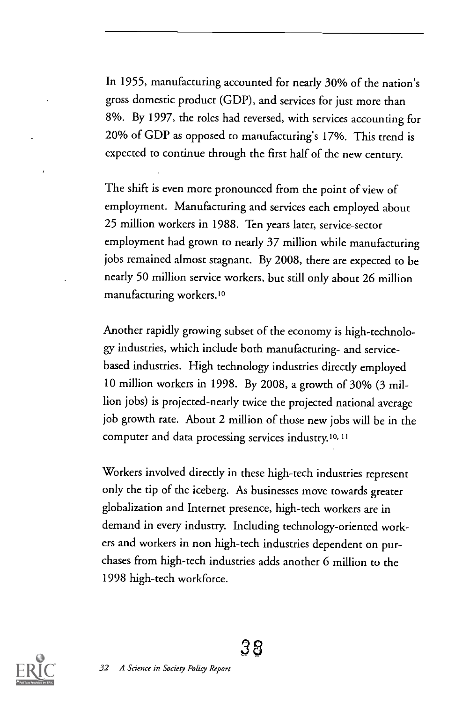In 1955, manufacturing accounted for nearly 30% of the nation's gross domestic product (GDP), and services for just more than 8%. By 1997, the roles had reversed, with services accounting for 20% of GDP as opposed to manufacturing's 17%. This trend is expected to continue through the first half of the new century.

The shift is even more pronounced from the point of view of employment. Manufacturing and services each employed about 25 million workers in 1988. Ten years later, service-sector employment had grown to nearly 37 million while manufacturing jobs remained almost stagnant. By 2008, there are expected to be nearly 50 million service workers, but still only about 26 million manufacturing workers.10

Another rapidly growing subset of the economy is high-technology industries, which include both manufacturing- and servicebased industries. High technology industries directly employed 10 million workers in 1998. By 2008, a growth of 30% (3 million jobs) is projected-nearly twice the projected national average job growth rate. About 2 million of those new jobs will be in the computer and data processing services industry.1o,11

Workers involved directly in these high-tech industries represent only the tip of the iceberg. As businesses move towards greater globalization and Internet presence, high-tech workers are in demand in every industry. Including technology-oriented workers and workers in non high-tech industries dependent on purchases from high-tech industries adds another 6 million to the 1998 high-tech workforce.

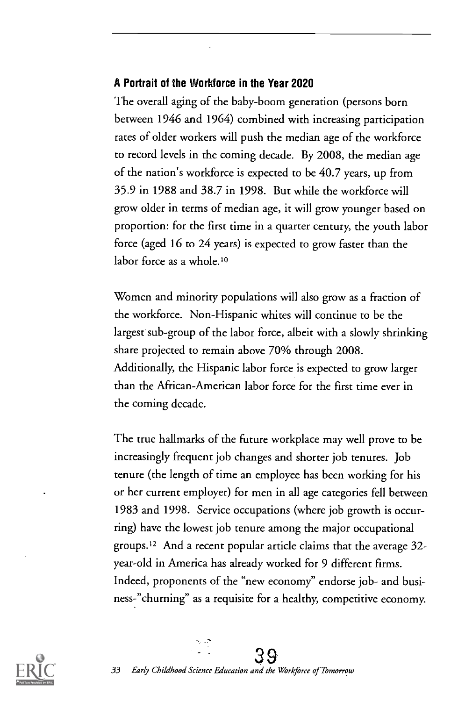#### A Portrait of the Workforce in the Year 2020

The overall aging of the baby-boom generation (persons born between 1946 and 1964) combined with increasing participation rates of older workers will push the median age of the workforce to record levels in the coming decade. By 2008, the median age of the nation's workforce is expected to be 40.7 years, up from 35.9 in 1988 and 38.7 in 1998. But while the workforce will grow older in terms of median age, it will grow younger based on proportion: for the first time in a quarter century, the youth labor force (aged 16 to 24 years) is expected to grow faster than the labor force as a whole.10

Women and minority populations will also grow as a fraction of the workforce. Non-Hispanic whites will continue to be the largest sub-group of the labor force, albeit with a slowly shrinking share projected to remain above 70% through 2008. Additionally, the Hispanic labor force is expected to grow larger than the African-American labor force for the first time ever in the coming decade.

The true hallmarks of the future workplace may well prove to be increasingly frequent job changes and shorter job tenures. Job tenure (the length of time an employee has been working for his or her current employer) for men in all age categories fell between 1983 and 1998. Service occupations (where job growth is occurring) have the lowest job tenure among the major occupational groups.12 And a recent popular article claims that the average 32 year -old in America has already worked for 9 different firms. Indeed, proponents of the "new economy" endorse job- and business-"churning" as a requisite for a healthy, competitive economy.

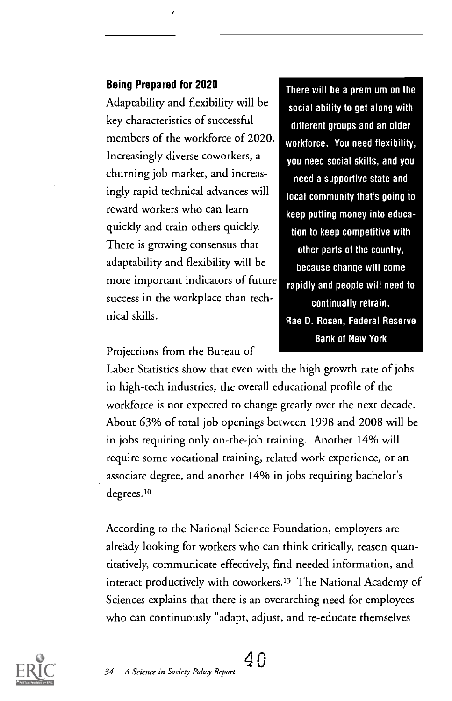#### Being Prepared for 2020

Adaptability and flexibility will be key characteristics of successful members of the workforce of 2020. Increasingly diverse coworkers, a churning job market, and increasingly rapid technical advances will reward workers who can learn quickly and train others quickly. There is growing consensus that adaptability and flexibility will be more important indicators of future success in the workplace than technical skills.

There will be a premium on the social ability to get along with different groups and an older workforce. You need flexibility, you need social skills, and you need a supportive state and local community that's going to keep putting money into education to keep competitive with other parts of the country, because change will come rapidly and people will need to continually retrain. Rae D. Rosen, Federal Reserve Bank of New York

Projections from the Bureau of

Labor Statistics show that even with the high growth rate of jobs in high-tech industries, the overall educational profile of the workforce is not expected to change greatly over the next decade. About 63% of total job openings between 1998 and 2008 will be in jobs requiring only on-the-job training. Another 14% will require some vocational training, related work experience, or an associate degree, and another 14% in jobs requiring bachelor's degrees.10

According to the National Science Foundation, employers are already looking for workers who can think critically, reason quantitatively, communicate effectively, find needed information, and interact productively with coworkers.13 The National Academy of Sciences explains that there is an overarching need for employees who can continuously "adapt, adjust, and re-educate themselves

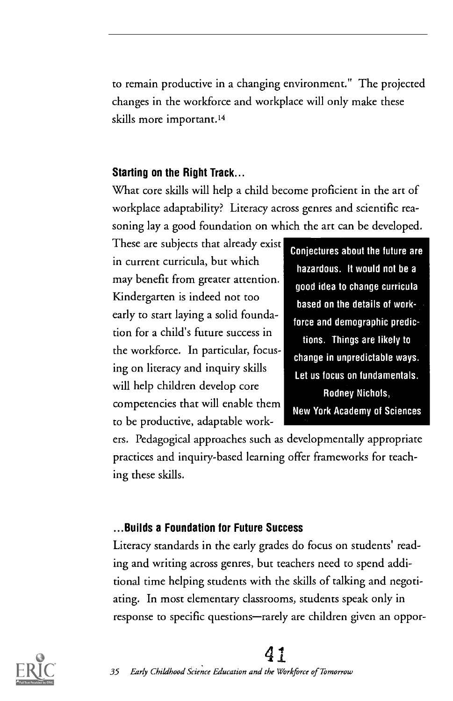to remain productive in a changing environment." The projected changes in the workforce and workplace will only make these skills more important.14

#### Starting on the Right Track...

What core skills will help a child become proficient in the art of workplace adaptability? Literacy across genres and scientific reasoning lay a good foundation on which the art can be developed.

These are subjects that already exist in current curricula, but which may benefit from greater attention. Kindergarten is indeed not too early to start laying a solid foundation for a child's future success in the workforce. In particular, focusing on literacy and inquiry skills will help children develop core competencies that will enable them to be productive, adaptable work-

Conjectures about the future are hazardous. It would not be a good idea to change curricula based on the details of workforce and demographic predictions. Things are likely to change in unpredictable ways. Let us focus on fundamentals. Rodney Nichols, New York Academy of Sciences

ers. Pedagogical approaches such as developmentally appropriate practices and inquiry-based learning offer frameworks for teaching these skills.

#### ...Builds a Foundation for Future Success

Literacy standards in the early grades do focus on students' reading and writing across genres, but teachers need to spend additional time helping students with the skills of talking and negotiating. In most elementary classrooms, students speak only in response to specific questions—rarely are children given an oppor-



### 41

35 Early Childhood Science Education and the Workforce of Tomorrow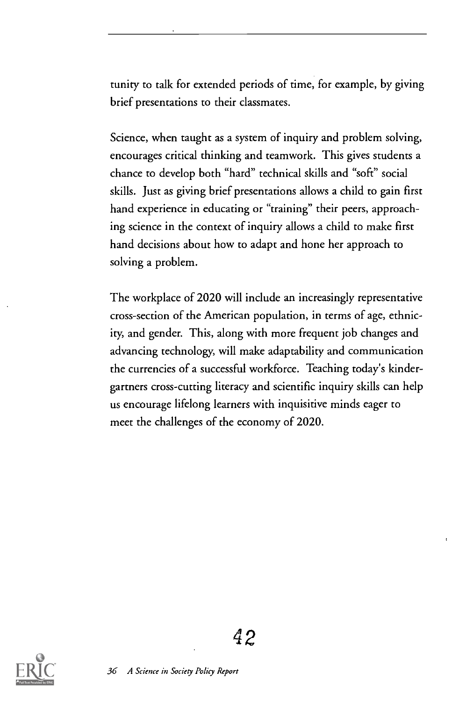tunity to talk for extended periods of time, for example, by giving brief presentations to their classmates.

Science, when taught as a system of inquiry and problem solving, encourages critical thinking and teamwork. This gives students a chance to develop both "hard" technical skills and "soft" social skills. Just as giving brief presentations allows a child to gain first hand experience in educating or "training" their peers, approaching science in the context of inquiry allows a child to make first hand decisions about how to adapt and hone her approach to solving a problem.

The workplace of 2020 will include an increasingly representative cross-section of the American population, in terms of age, ethnicity, and gender. This, along with more frequent job changes and advancing technology, will make adaptability and communication the currencies of a successful workforce. Teaching today's kindergartners cross-cutting literacy and scientific inquiry skills can help us encourage lifelong learners with inquisitive minds eager to meet the challenges of the economy of 2020.

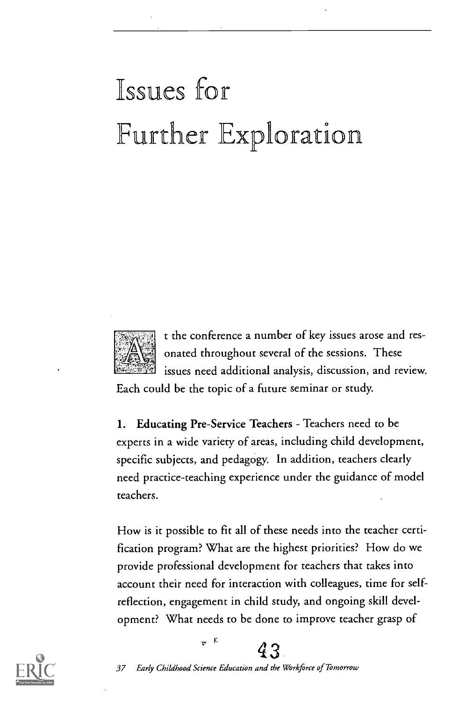## Issues for Further Exploration



t the conference a number of key issues arose and resonated throughout several of the sessions. These issues need additional analysis, discussion, and review.

Each could be the topic of a future seminar or study.

1. Educating Pre-Service Teachers - Teachers need to be experts in a wide variety of areas, including child development, specific subjects, and pedagogy. In addition, teachers clearly need practice-teaching experience under the guidance of model teachers.

How is it possible to fit all of these needs into the teacher certification program? What are the highest priorities? How do we provide professional development for teachers that takes into account their need for interaction with colleagues, time for selfreflection, engagement in child study, and ongoing skill development? What needs to be done to improve teacher grasp of



 $43$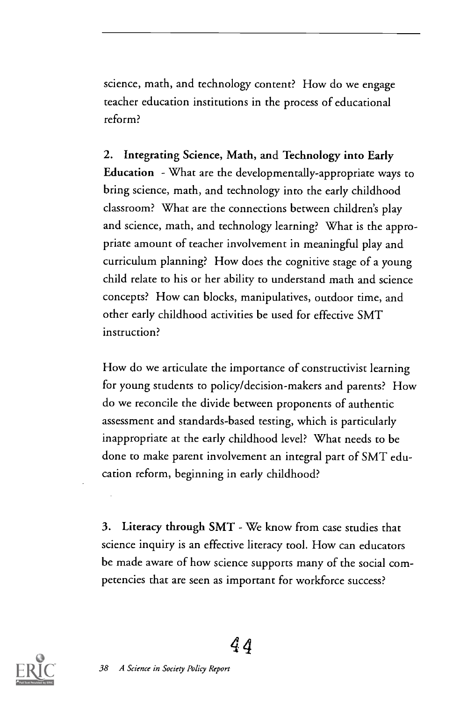science, math, and technology content? How do we engage teacher education institutions in the process of educational reform?

2. Integrating Science, Math, and Technology into Early Education What are the developmentally-appropriate ways to bring science, math, and technology into the early childhood classroom? What are the connections between children's play and science, math, and technology learning? What is the appropriate amount of teacher involvement in meaningful play and curriculum planning? How does the cognitive stage of a young child relate to his or her ability to understand math and science concepts? How can blocks, manipulatives, outdoor time, and other early childhood activities be used for effective SMT instruction?

How do we articulate the importance of constructivist learning for young students to policy/decision-makers and parents? How do we reconcile the divide between proponents of authentic assessment and standards-based testing, which is particularly inappropriate at the early childhood level? What needs to be done to make parent involvement an integral part of SMT education reform, beginning in early childhood?

3. Literacy through SMT - We know from case studies that science inquiry is an effective literacy tool. How can educators be made aware of how science supports many of the social competencies that are seen as important for workforce success?

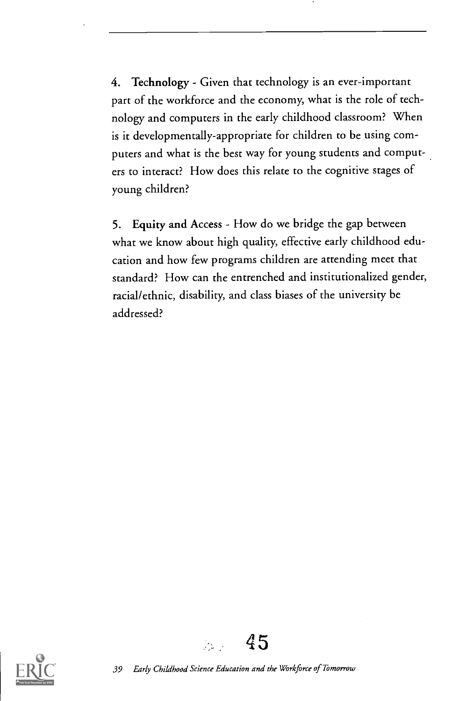4. Technology - Given that technology is an ever-important part of the workforce and the economy, what is the role of technology and computers in the early childhood classroom? When is it developmentally-appropriate for children to be using computers and what is the best way for young students and computers to interact? How does this relate to the cognitive stages of young children?

5. Equity and Access - How do we bridge the gap between what we know about high quality, effective early childhood education and how few programs children are attending meet that standard? How can the entrenched and institutionalized gender, racial/ethnic, disability, and class biases of the university be addressed?





 $\mathbb{R}^{n}$  .

45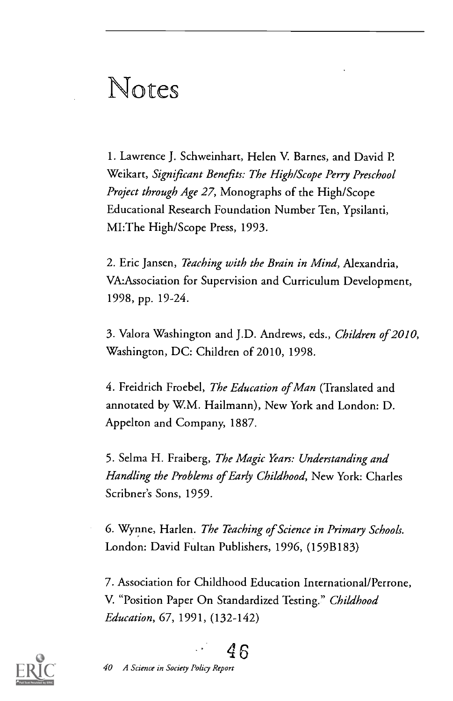### Notes

1. Lawrence J. Schweinhart, Helen V. Barnes, and David P. Weikart, Significant Benefits: The High/Scope Perry Preschool Project through Age 27, Monographs of the High/Scope Educational Research Foundation Number Ten, Ypsilanti, MI:The High/Scope Press, 1993.

2. Eric Jansen, Teaching with the Brain in Mind, Alexandria, VA:Association for Supervision and Curriculum Development, 1998, pp. 19-24.

3. Valora Washington and J.D. Andrews, eds., Children of 2010, Washington, DC: Children of 2010, 1998.

4. Freidrich Froebel, The Education of Man (Translated and annotated by W.M. Hailmann), New York and London: D. Appelton and Company, 1887.

5. Selma H. Fraiberg, The Magic Years: Understanding and Handling the Problems of Early Childhood, New York: Charles Scribner's Sons, 1959.

6. Wynne, Harlen. The Teaching of Science in Primary Schools. London: David Fultan Publishers, 1996, (159B183)

7. Association for Childhood Education International/Perrone, V. "Position Paper On Standardized Testing." Childhood Education, 67, 1991, (132-142)



46

40 A Science in Society Policy Report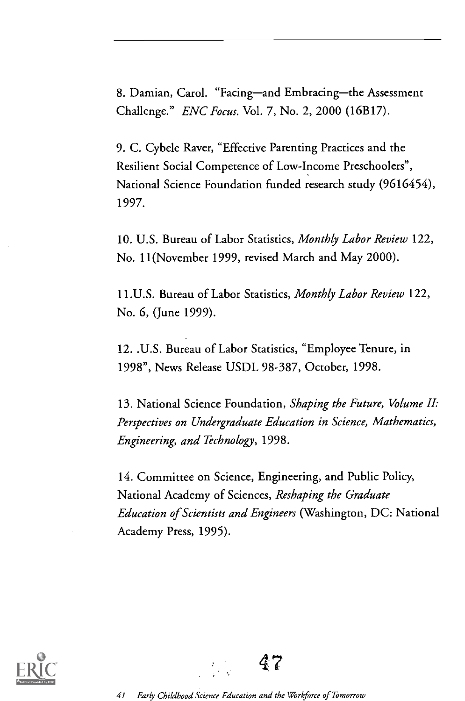8. Damian, Carol. "Facing-and Embracing-the Assessment Challenge." ENC Focus. Vol. 7, No. 2, 2000 (16B17).

9. C. Cybele Raver, "Effective Parenting Practices and the Resilient Social Competence of Low-Income Preschoolers", National Science Foundation funded research study (9616454), 1997.

10. U.S. Bureau of Labor Statistics, Monthly Labor Review 122, No. 11(November 1999, revised March and May 2000).

11.U.S. Bureau of Labor Statistics, Monthly Labor Review 122, No. 6, (June 1999).

12. .U.S. Bureau of Labor Statistics, "Employee Tenure, in 1998", News Release USDL 98-387, October, 1998.

13. National Science Foundation, Shaping the Future, Volume II: Perspectives on Undergraduate Education in Science, Mathematics, Engineering, and Technology, 1998.

14. Committee on Science, Engineering, and Public Policy, National Academy of Sciences, Reshaping the Graduate Education of Scientists and Engineers (Washington, DC: National Academy Press, 1995).



47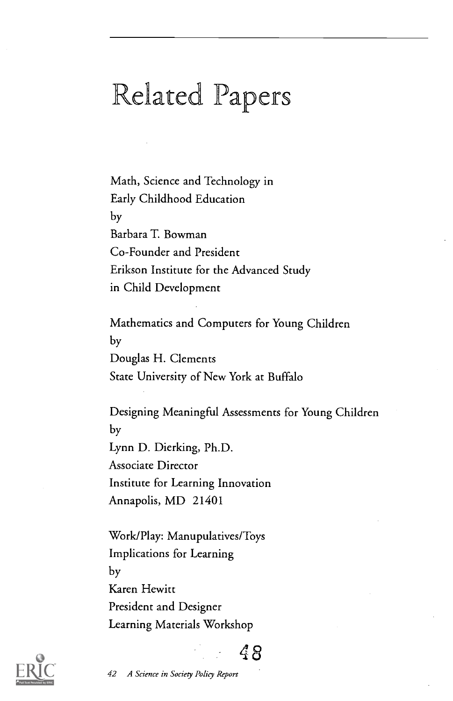### Related Papers

Math, Science and Technology in Early Childhood Education by Barbara T. Bowman Co-Founder and President Erikson Institute for the Advanced Study in Child Development

Mathematics and Computers for Young Children by Douglas H. Clements State University of New York at Buffalo

Designing Meaningful Assessments for Young Children by Lynn D. Dierking, Ph.D. Associate Director Institute for Learning Innovation Annapolis, MD 21401

8

Work/Play: Manupulatives/Toys Implications for Learning by Karen Hewitt President and Designer Learning Materials Workshop



42 A Science in Society Policy Report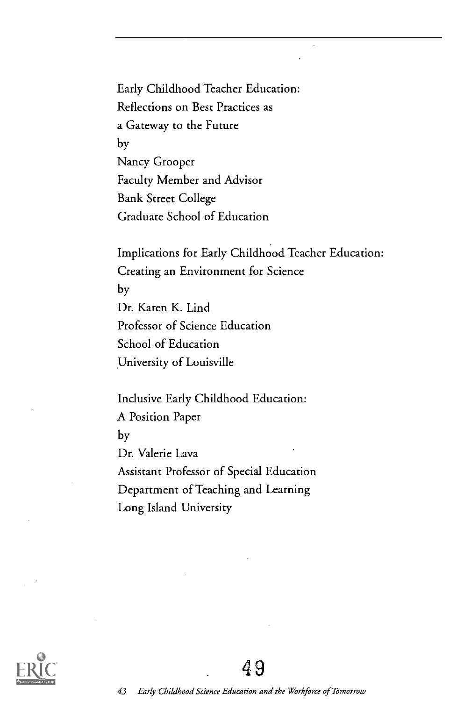Early Childhood Teacher Education: Reflections on Best Practices as a Gateway to the Future by Nancy Grooper Faculty Member and Advisor Bank Street College Graduate School of Education

Implications for Early Childhood Teacher Education: Creating an Environment for Science by Dr. Karen K. Lind Professor of Science Education School of Education University of Louisville

Inclusive Early Childhood Education: A Position Paper by Dr. Valerie Lava Assistant Professor of Special Education Department of Teaching and Learning Long Island University

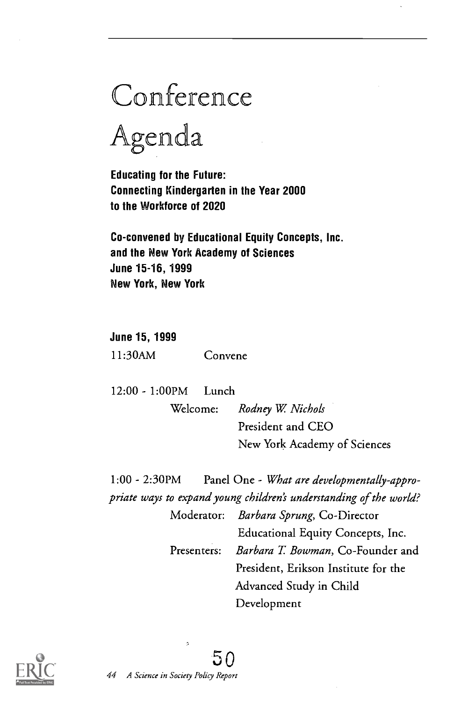## Conference

Agenda

Educating for the Future: Connecting Kindergarten in the Year 2000 to the Workforce of 2020

Co-convened by Educational Equity Concepts, Inc. and the New York Academy of Sciences June 15 -16, 1999 New York, New York

June 15, 1999 11:30AM Convene

12:00 - 1:00PM Lunch

Welcome: Rodney W. Nichols President and CEO New York Academy of Sciences

1:00 - 2:30PM Panel One What are developmentally-appropriate ways to expand young children's understanding of the world?

> Moderator: Barbara Sprung, Co-Director Educational Equity Concepts, Inc. Presenters: *Barbara T. Bowman*, Co-Founder and President, Erikson Institute for the Advanced Study in Child Development

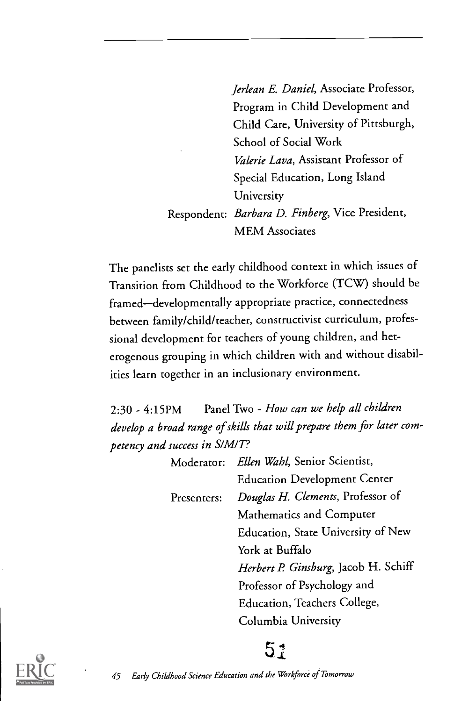Jerlean E. Daniel, Associate Professor, Program in Child Development and Child Care, University of Pittsburgh, School of Social Work Valerie Lava, Assistant Professor of Special Education, Long Island University Respondent: Barbara D. Finberg, Vice President, MEM Associates

The panelists set the early childhood context in which issues of Transition from Childhood to the Workforce (TCW) should be framed-developmentally appropriate practice, connectedness between family/child/teacher, constructivist curriculum, professional development for teachers of young children, and heterogenous grouping in which children with and without disabilities learn together in an inclusionary environment.

2:30 - 4:15PM Panel Two - How can we help all children develop a broad range of skills that will prepare them for later competency and success in S/M/T?

> Moderator: Ellen Wahl, Senior Scientist, Education Development Center Presenters: Douglas H. Clements, Professor of Mathematics and Computer Education, State University of New York at Buffalo Herbert P. Ginsburg, Jacob H. Schiff Professor of Psychology and Education, Teachers College, Columbia University



### 51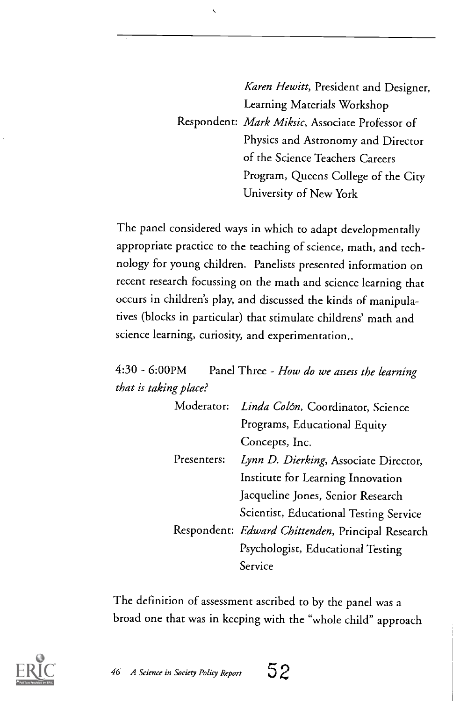Karen Hewitt, President and Designer, Learning Materials Workshop Respondent: Mark Miksic, Associate Professor of Physics and Astronomy and Director of the Science Teachers Careers Program, Queens College of the City University of New York

The panel considered ways in which to adapt developmentally appropriate practice to the teaching of science, math, and technology for young children. Panelists presented information on recent research focussing on the math and science learning that occurs in children's play, and discussed the kinds of manipulatives (blocks in particular) that stimulate childrens' math and science learning, curiosity, and experimentation..

 $\overline{\phantom{0}}$ 

 $4:30 - 6:00$ PM Panel Three - How do we assess the learning that is taking place?

|  | Moderator:  | Linda Colón, Coordinator, Science                 |
|--|-------------|---------------------------------------------------|
|  |             | Programs, Educational Equity                      |
|  | Presenters: | Concepts, Inc.                                    |
|  |             | Lynn D. Dierking, Associate Director,             |
|  |             | Institute for Learning Innovation                 |
|  |             | Jacqueline Jones, Senior Research                 |
|  |             | Scientist, Educational Testing Service            |
|  |             | Respondent: Edward Chittenden, Principal Research |
|  |             | Psychologist, Educational Testing                 |
|  |             | Service                                           |

The definition of assessment ascribed to by the panel was a broad one that was in keeping with the "whole child" approach

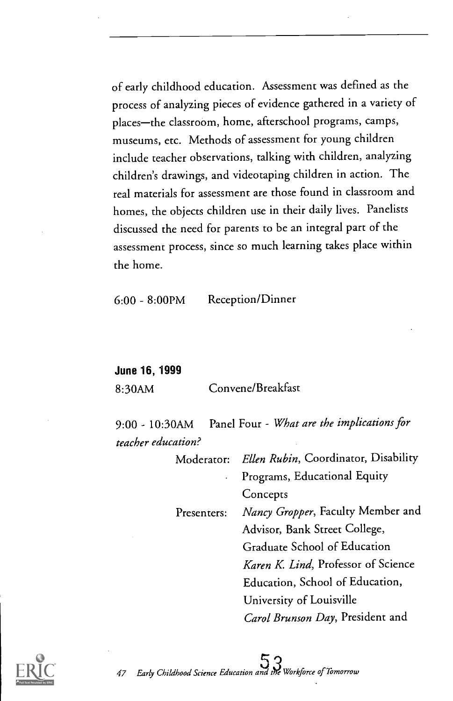of early childhood education. Assessment was defined as the process of analyzing pieces of evidence gathered in a variety of places-the classroom, home, afterschool programs, camps, museums, etc. Methods of assessment for young children include teacher observations, talking with children, analyzing children's drawings, and videotaping children in action. The real materials for assessment are those found in classroom and homes, the objects children use in their daily lives. Panelists discussed the need for parents to be an integral part of the assessment process, since so much learning takes place within the home.

6:00 - 8:00PM Reception/Dinner

June 16, 1999

8:30AM Convene/Breakfast

9:00 - 10:30AM Panel Four - What are the implications for teacher education?

|                            | Moderator: Ellen Rubin, Coordinator, Disability |
|----------------------------|-------------------------------------------------|
| $\mathcal{L}^{\text{max}}$ | Programs, Educational Equity                    |
|                            | Concepts                                        |
| Presenters:                | Nancy Gropper, Faculty Member and               |
|                            | Advisor, Bank Street College,                   |
|                            | Graduate School of Education                    |
|                            | Karen K. Lind, Professor of Science             |
|                            | Education, School of Education,                 |
|                            | University of Louisville                        |
|                            | Carol Brunson Day, President and                |

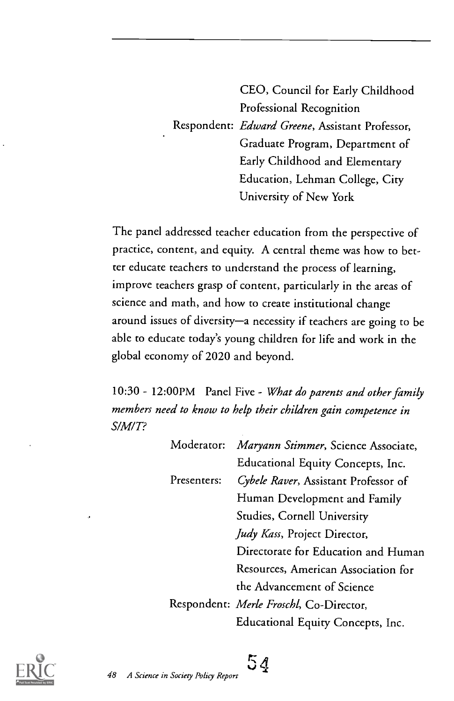CEO, Council for Early Childhood Professional Recognition Respondent: Edward Greene, Assistant Professor, Graduate Program, Department of Early Childhood and Elementary Education, Lehman College, City University of New York

The panel addressed teacher education from the perspective of practice, content, and equity. A central theme was how to better educate teachers to understand the process of learning, improve teachers grasp of content, particularly in the areas of science and math, and how to create institutional change around issues of diversity-a necessity if teachers are going to be able to educate today's young children for life and work in the global economy of 2020 and beyond.

10:30 - 12:00PM Panel Five - What do parents and other family members need to know to help their children gain competence in S/M/T?

| Moderator:  | Maryann Stimmer, Science Associate,     |  |
|-------------|-----------------------------------------|--|
|             | Educational Equity Concepts, Inc.       |  |
| Presenters: | Cybele Raver, Assistant Professor of    |  |
|             | Human Development and Family            |  |
|             | Studies, Cornell University             |  |
|             | Judy Kass, Project Director,            |  |
|             | Directorate for Education and Human     |  |
|             | Resources, American Association for     |  |
|             | the Advancement of Science              |  |
|             | Respondent: Merle Froschl, Co-Director, |  |
|             | Educational Equity Concepts, Inc.       |  |



 $54$   $-$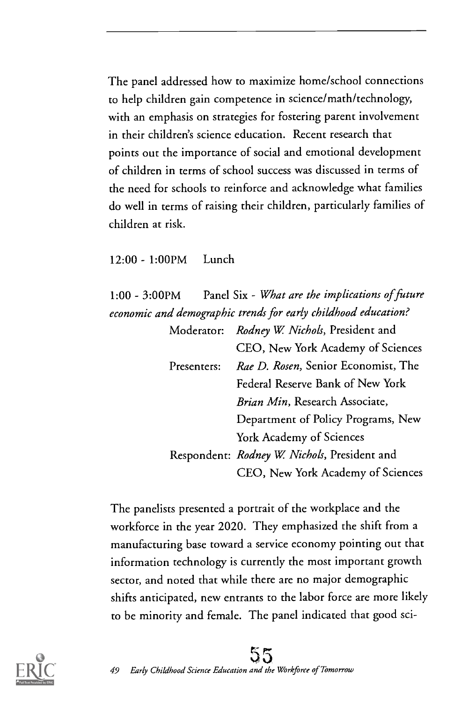The panel addressed how to maximize home/school connections to help children gain competence in science/math/technology, with an emphasis on strategies for fostering parent involvement in their children's science education. Recent research that points out the importance of social and emotional development of children in terms of school success was discussed in terms of the need for schools to reinforce and acknowledge what families do well in terms of raising their children, particularly families of children at risk.

12:00 - 1:00PM Lunch

1:00 - 3:00PM Panel Six - What are the implications of future economic and demographic trends for early childhood education?

|             |  | Moderator: Rodney W. Nichols, President and  |  |
|-------------|--|----------------------------------------------|--|
|             |  | CEO, New York Academy of Sciences            |  |
| Presenters: |  | Rae D. Rosen, Senior Economist, The          |  |
|             |  | Federal Reserve Bank of New York             |  |
|             |  | Brian Min, Research Associate,               |  |
|             |  | Department of Policy Programs, New           |  |
|             |  | York Academy of Sciences                     |  |
|             |  | Respondent: Rodney W. Nichols, President and |  |
|             |  | CEO, New York Academy of Sciences            |  |

The panelists presented a portrait of the workplace and the workforce in the year 2020. They emphasized the shift from a manufacturing base toward a service economy pointing out that information technology is currently the most important growth sector, and noted that while there are no major demographic shifts anticipated, new entrants to the labor force are more likely to be minority and female. The panel indicated that good sci-



### 49 Early Childhood Science Education and the Workforce of Tomorrow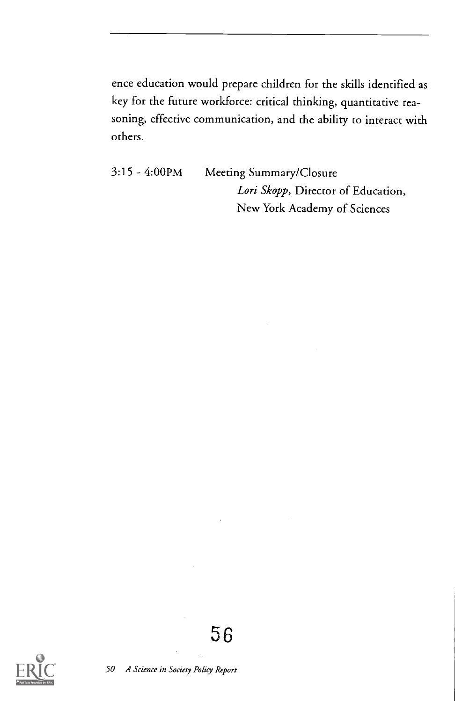ence education would prepare children for the skills identified as key for the future workforce: critical thinking, quantitative reasoning, effective communication, and the ability to interact with others.

3:15 4:00PM Meeting Summary/Closure Lori Skopp, Director of Education, New York Academy of Sciences



50 A Science in Society Policy Report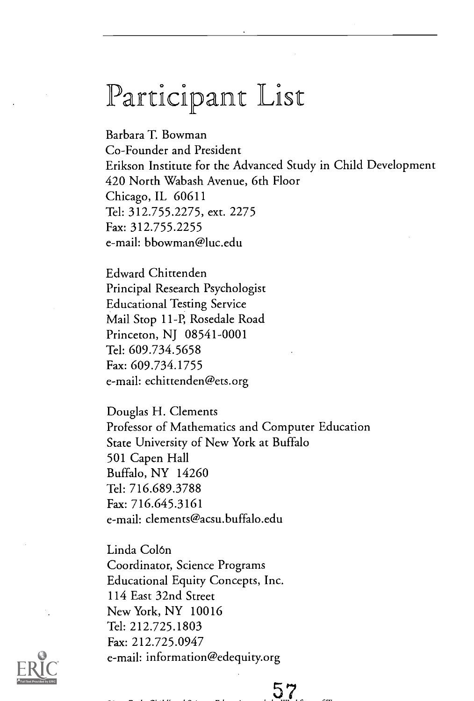### Participant List

Barbara T. Bowman Co-Founder and President Erikson Institute for the Advanced Study in Child Development 420 North Wabash Avenue, 6th Floor Chicago, IL 60611 Tel: 312.755.2275, ext. 2275 Fax: 312.755.2255 e-mail: bbowman@luc.edu

Edward Chittenden Principal Research Psychologist Educational Testing Service Mail Stop 11-P, Rosedale Road Princeton, NJ 08541-0001 Tel: 609.734.5658 Fax: 609.734.1755 e-mail: echittenden@ets.org

Douglas H. Clements Professor of Mathematics and Computer Education State University of New York at Buffalo 501 Capen Hall Buffalo, NY 14260 Tel: 716.689.3788 Fax: 716.645.3161 e-mail: clements@acsu.buffalo.edu

Linda Colon Coordinator, Science Programs Educational Equity Concepts, Inc. 114 East 32nd Street New York, NY 10016 Tel: 212.725.1803 Fax: 212.725.0947 e-mail: information@edequity.org



57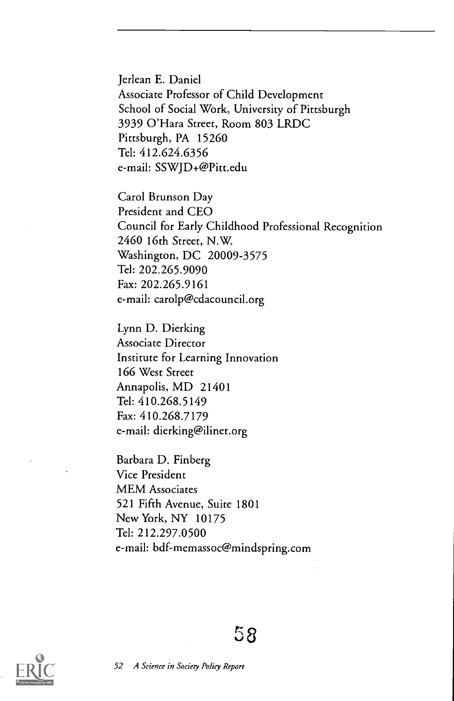Jerlean E. Daniel Associate Professor of Child Development School of Social Work, University of Pittsburgh 3939 O'Hara Street, Room 803 LRDC Pittsburgh, PA 15260 Tel: 412.624.6356 e-mail: SSWJD+@Pitt.edu

Carol Brunson Day President and CEO Council for Early Childhood Professional Recognition 2460 16th Street, N.W. Washington, DC 20009-3575 Tel: 202.265.9090 Fax: 202.265.9161 e-mail: carolp@cdacouncil.org

Lynn D. Dierking Associate Director Institute for Learning Innovation 166 West Street Annapolis, MD 21401 Tel: 410.268.5149 Fax: 410.268.7179 e-mail: dierking@ilinet.org

Barbara D. Finberg Vice President MEM Associates 521 Fifth Avenue, Suite 1801 New York, NY 10175 Tel: 212.297.0500 e-mail: bdf-memassoc@mindspring.com

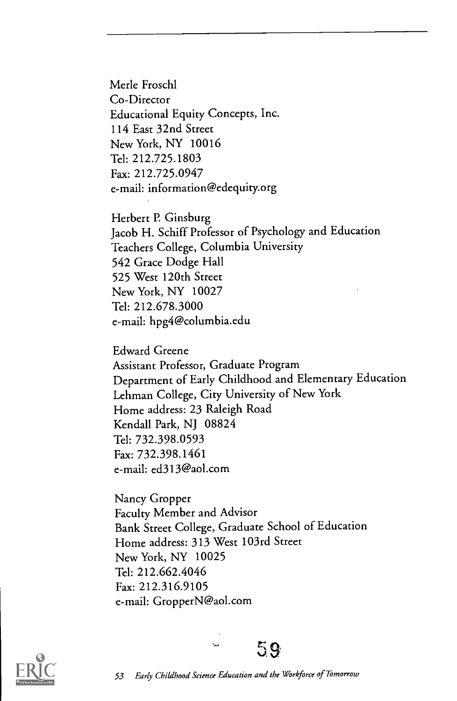Merle Froschl Co-Director Educational Equity Concepts, Inc. 114 East 32nd Street New York, NY 10016 Tel: 212.725.1803 Fax: 212.725.0947 e-mail: information@edequity.org

Herbert P. Ginsburg Jacob H. Schiff Professor of Psychology and Education Teachers College, Columbia University 542 Grace Dodge Hall 525 West 120th Street New York, NY 10027 Tel: 212.678.3000 e-mail: hpg4@columbia.edu

Edward Greene Assistant Professor, Graduate Program Department of Early Childhood and Elementary Education Lehman College, City University of New York Home address: 23 Raleigh Road Kendall Park, NJ 08824 Tel: 732.398.0593 Fax: 732.398.1461 e-mail: ed3 I 3@aol.com

Nancy Gropper Faculty Member and Advisor Bank Street College, Graduate School of Education Home address: 313 West 103rd Street New York, NY 10025 Tel: 212.662.4046 Fax: 212.316.9105 e-mail: GropperN@aol.com



53 Early Childhood Science Education and the Workforce of Tomorrow

 $59$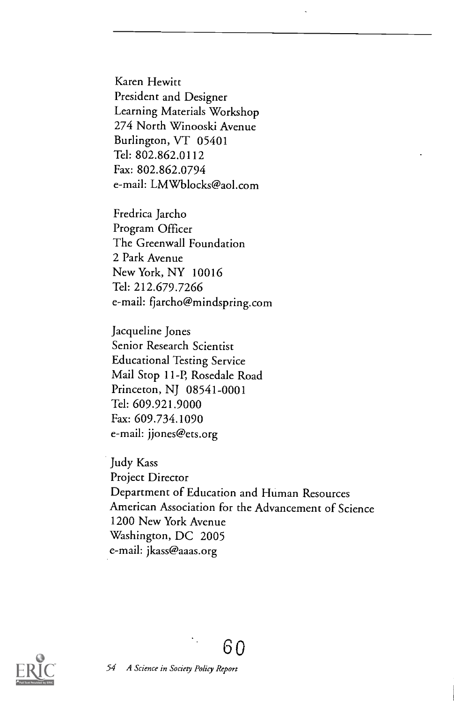Karen Hewitt President and Designer Learning Materials Workshop 274 North Winooski Avenue Burlington, VT 05401 Tel: 802.862.0112 Fax: 802.862.0794 e-mail: LMWblocks@aol.com

Fredrica Jarcho Program Officer The Greenwall Foundation 2 Park Avenue New York, NY 10016 Tel: 212.679.7266 e-mail: fjarcho@mindspring.com

Jacqueline Jones Senior Research Scientist Educational Testing Service Mail Stop 11-P, Rosedale Road Princeton, NJ 08541-0001 Tel: 609.921.9000 Fax: 609.734.1090 e-mail: jjones@ets.org

Judy Kass Project Director Department of Education and Human Resources American Association for the Advancement of Science 1200 New York Avenue Washington, DC 2005 e-mail: jkass@aaas.org

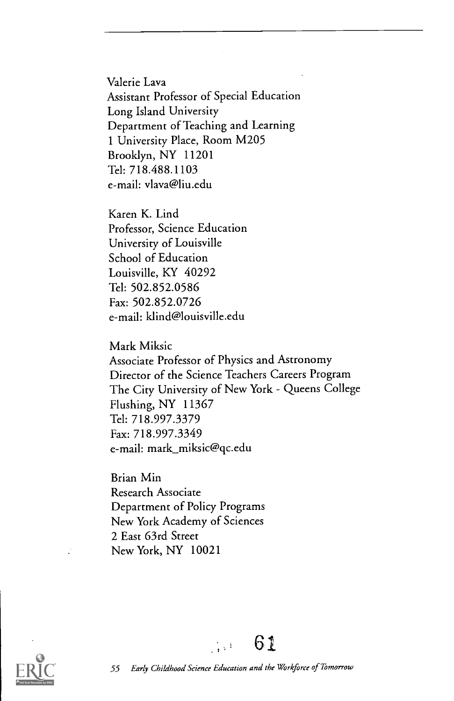Valerie Lava Assistant Professor of Special Education Long Island University Department of Teaching and Learning 1 University Place, Room M205 Brooklyn, NY 11201 Tel: 718.488.1103 e-mail: vlava@liu.edu

Karen K. Lind Professor, Science Education University of Louisville School of Education Louisville, KY 40292 Tel: 502.852.0586 Fax: 502.852.0726 e-mail: klind@louisville.edu

Mark Miksic Associate Professor of Physics and Astronomy Director of the Science Teachers Careers Program The City University of New York - Queens College Flushing, NY 11367 Tel: 718.997.3379 Fax: 718.997.3349 e-mail: mark\_miksic@qc.edu

Brian Min Research Associate Department of Policy Programs New York Academy of Sciences 2 East 63rd Street New York, NY 10021

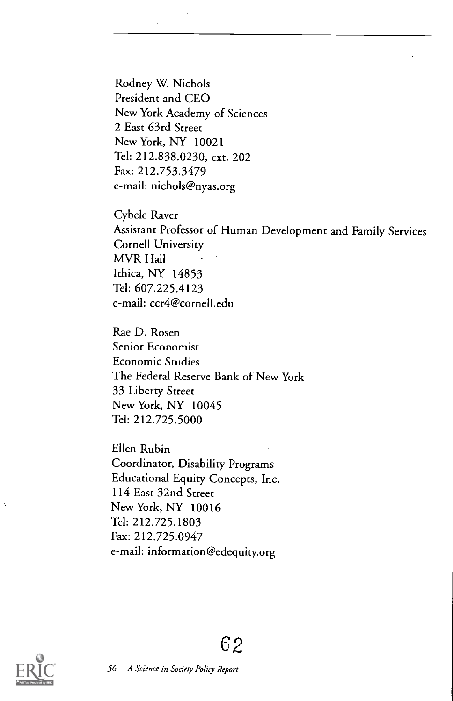Rodney W. Nichols President and CEO New York Academy of Sciences 2 East 63rd Street New York, NY 10021 Tel: 212.838.0230, ext. 202 Fax: 212.753.3479 e-mail: nichols@nyas.org

Cybele Raver Assistant Professor of Human Development and Family Services Cornell University MVR Hall Ithica, NY 14853 Tel: 607.225.4123 e-mail: ccr4@cornell.edu

Rae D. Rosen Senior Economist Economic Studies The Federal Reserve Bank of New York 33 Liberty Street New York, NY 10045 Tel: 212.725.5000

Ellen Rubin Coordinator, Disability Programs Educational Equity Concepts, Inc. 114 East 32nd Street New York, NY 10016 Tel: 212.725.1803 Fax: 212.725.0947 e-mail: information@edequity.org



۹,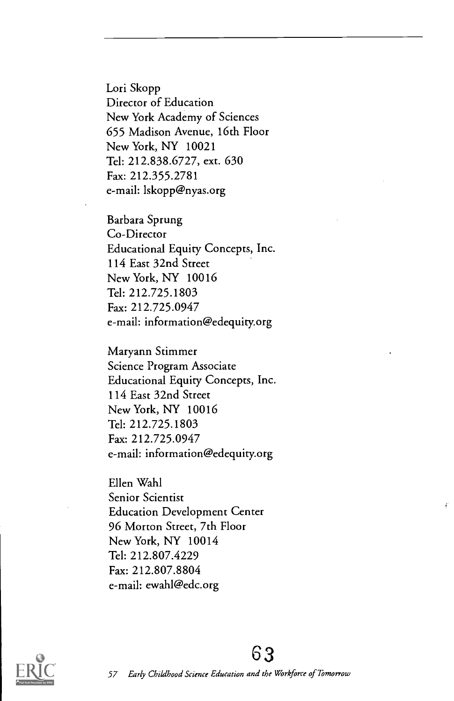Lori Skopp Director of Education New York Academy of Sciences 655 Madison Avenue, 16th Floor New York, NY 10021 Tel: 212.838.6727, ext. 630 Fax: 212.355.2781 e-mail: lskopp@nyas.org

Barbara Sprung Co-Director Educational Equity Concepts, Inc. 114 East 32nd Street New York, NY 10016 Tel: 212.725.1803 Fax: 212.725.0947 e-mail: information@edequity.org

Maryann Stimmer Science Program Associate Educational Equity Concepts, Inc. 114 East 32nd Street New York, NY 10016 Tel: 212.725.1803 Fax: 212.725.0947 e-mail: information@edequity.org

Ellen Wahl Senior Scientist Education Development Center 96 Morton Street, 7th Floor New York, NY 10014 Tel: 212.807.4229 Fax: 212.807.8804 e-mail: ewahl@edc.org

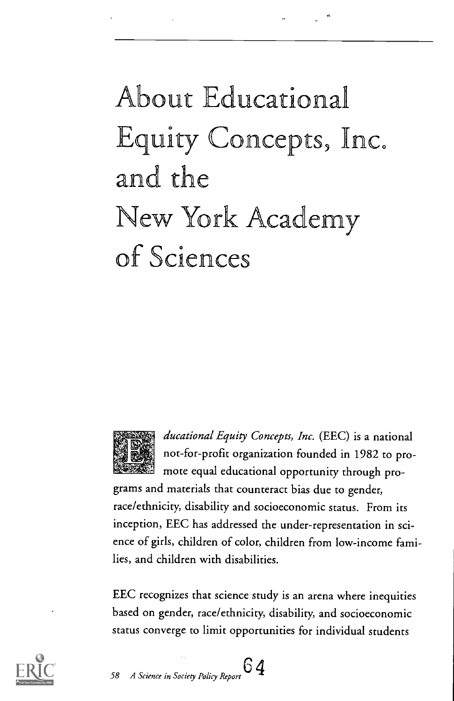## About Educational Equity Concepts, Inc. and the New York cademy of Sciences



ducational Equity Concepts, Inc. (EEC) is a national not-for-profit organization founded in 1982 to promote equal educational opportunity through pro-

grams and materials that counteract bias due to gender, race/ethnicity, disability and socioeconomic status. From its inception, EEC has addressed the under-representation in science of girls, children of color, children from low-income families, and children with disabilities.

EEC recognizes that science study is an arena where inequities based on gender, race/ethnicity, disability, and socioeconomic status converge to limit opportunities for individual students



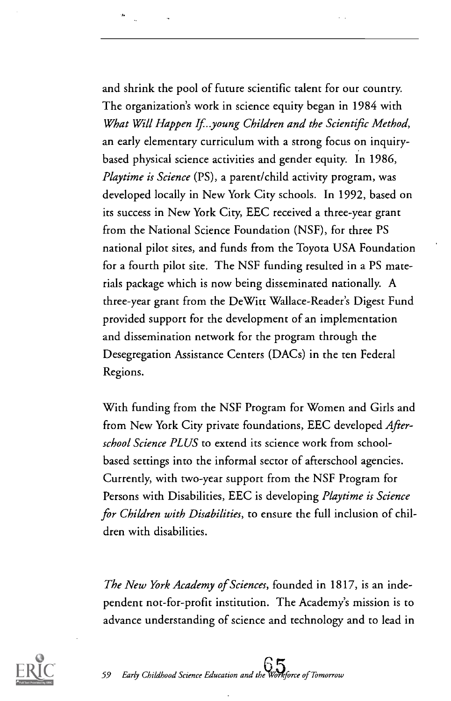and shrink the pool of future scientific talent for our country. The organization's work in science equity began in 1984 with What Will Happen If..young Children and the Scientific Method, an early elementary curriculum with a strong focus on inquirybased physical science activities and gender equity. In 1986, Playtime is Science (PS), a parent/child activity program, was developed locally in New York City schools. In 1992, based on its success in New York City, EEC received a three-year grant from the National Science Foundation (NSF), for three PS national pilot sites, and funds from the Toyota USA Foundation for a fourth pilot site. The NSF funding resulted in a PS materials package which is now being disseminated nationally. A three-year grant from the DeWitt Wallace-Reader's Digest Fund provided support for the development of an implementation and dissemination network for the program through the Desegregation Assistance Centers (DACs) in the ten Federal Regions.

With funding from the NSF Program for Women and Girls and from New York City private foundations, EEC developed Afterschool Science PLUS to extend its science work from schoolbased settings into the informal sector of afterschool agencies. Currently, with two-year support from the NSF Program for Persons with Disabilities, EEC is developing Playtime is Science for Children with Disabilities, to ensure the full inclusion of children with disabilities.

The New York Academy of Sciences, founded in 1817, is an independent not-for-profit institution. The Academy's mission is to advance understanding of science and technology and to lead in

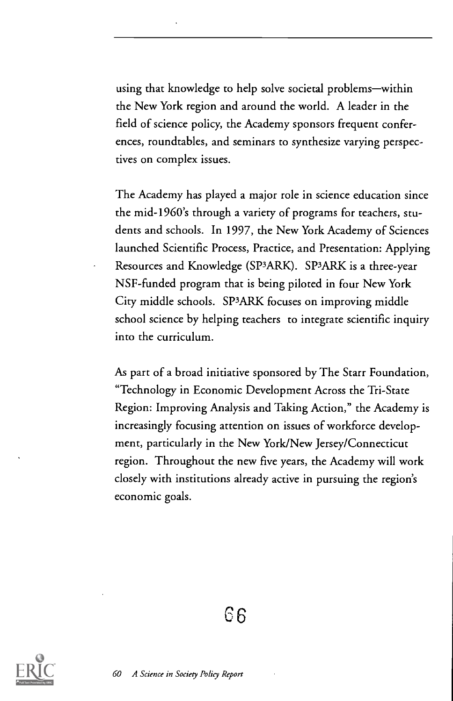using that knowledge to help solve societal problems-within the New York region and around the world. A leader in the field of science policy, the Academy sponsors frequent conferences, roundtables, and seminars to synthesize varying perspectives on complex issues.

The Academy has played a major role in science education since the mid-1960's through a variety of programs for teachers, students and schools. In 1997, the New York Academy of Sciences launched Scientific Process, Practice, and Presentation: Applying Resources and Knowledge (SP3ARK). SP3ARK is a three-year NSF-funded program that is being piloted in four New York City middle schools. SP3ARK focuses on improving middle school science by helping teachers to integrate scientific inquiry into the curriculum.

As part of a broad initiative sponsored by The Starr Foundation, "Technology in Economic Development Across the Tri-State Region: Improving Analysis and Taking Action," the Academy is increasingly focusing attention on issues of workforce development, particularly in the New York/New Jersey/Connecticut region. Throughout the new five years, the Academy will work closely with institutions already active in pursuing the region's economic goals.

66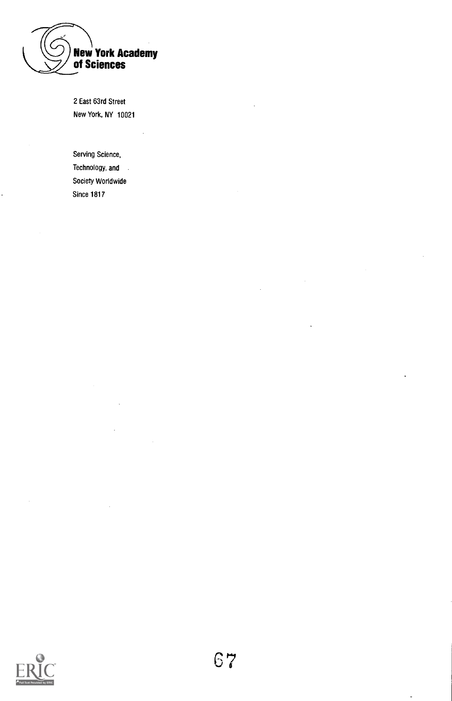

2 East 63rd Street New York, NY 10021

Serving Science, Technology, and . Society Worldwide Since 1817